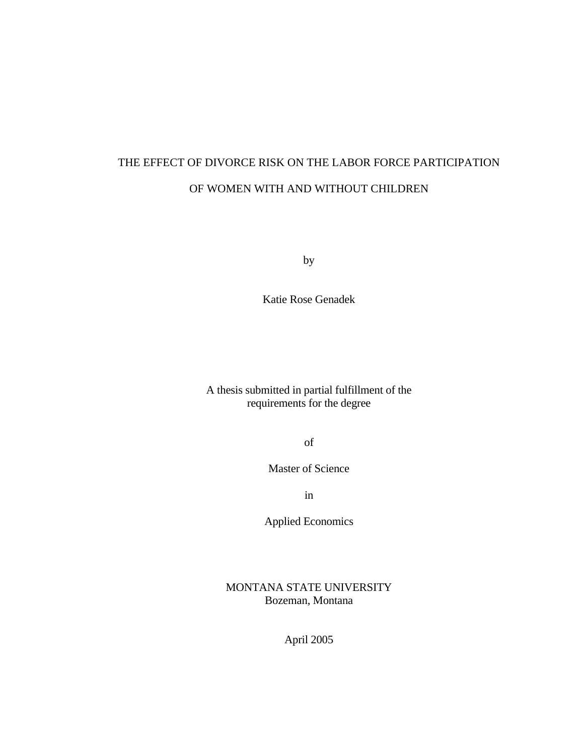# THE EFFECT OF DIVORCE RISK ON THE LABOR FORCE PARTICIPATION OF WOMEN WITH AND WITHOUT CHILDREN

by

Katie Rose Genadek

A thesis submitted in partial fulfillment of the requirements for the degree

of

Master of Science

in

Applied Economics

MONTANA STATE UNIVERSITY Bozeman, Montana

April 2005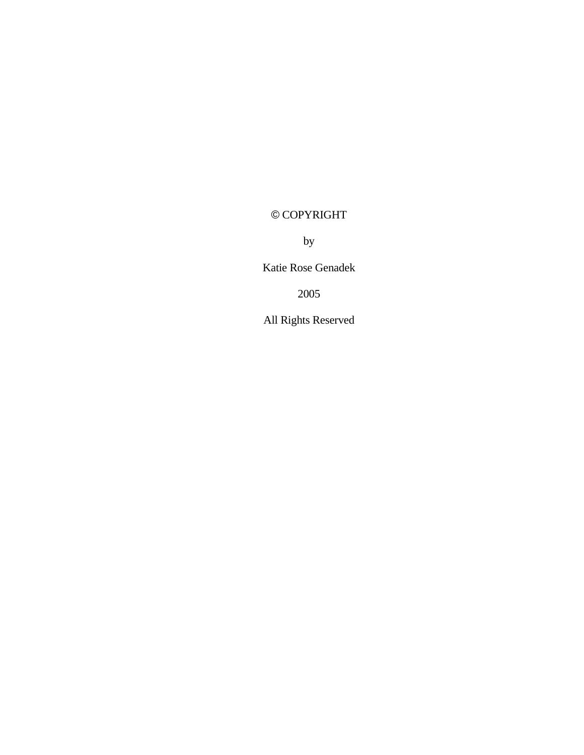# © COPYRIGHT

by

Katie Rose Genadek

2005

All Rights Reserved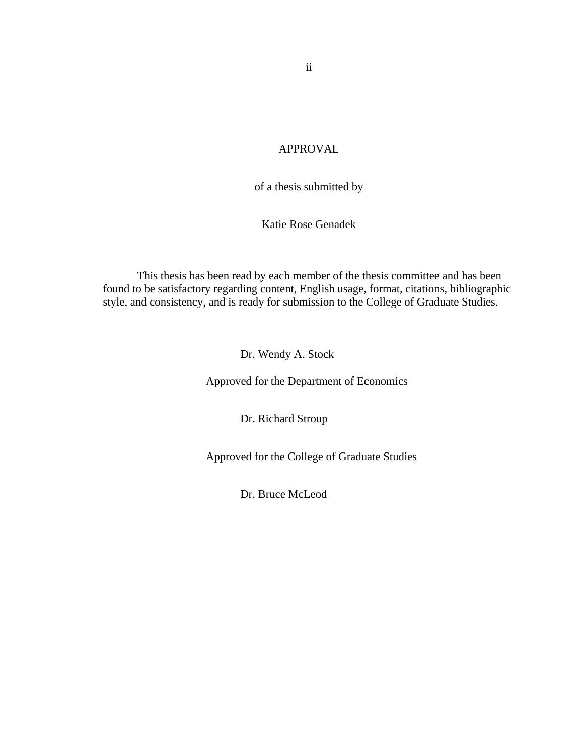# APPROVAL

of a thesis submitted by

Katie Rose Genadek

This thesis has been read by each member of the thesis committee and has been found to be satisfactory regarding content, English usage, format, citations, bibliographic style, and consistency, and is ready for submission to the College of Graduate Studies.

Dr. Wendy A. Stock

Approved for the Department of Economics

Dr. Richard Stroup

Approved for the College of Graduate Studies

Dr. Bruce McLeod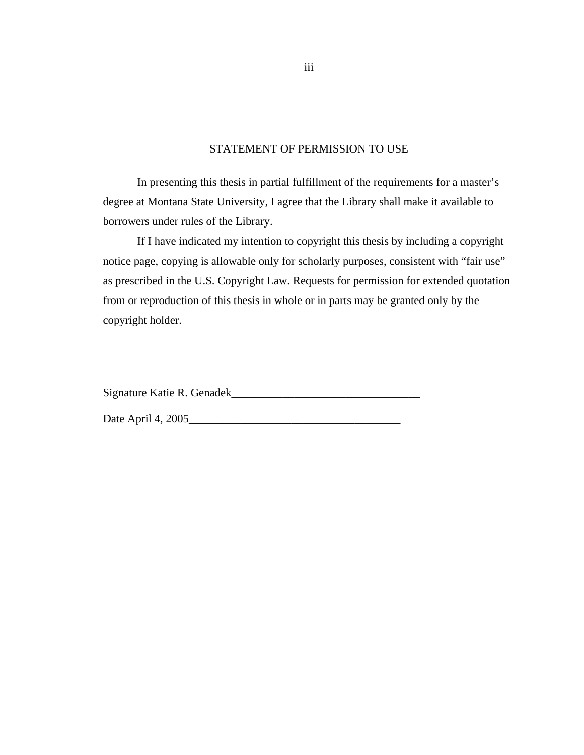# STATEMENT OF PERMISSION TO USE

In presenting this thesis in partial fulfillment of the requirements for a master's degree at Montana State University, I agree that the Library shall make it available to borrowers under rules of the Library.

If I have indicated my intention to copyright this thesis by including a copyright notice page, copying is allowable only for scholarly purposes, consistent with "fair use" as prescribed in the U.S. Copyright Law. Requests for permission for extended quotation from or reproduction of this thesis in whole or in parts may be granted only by the copyright holder.

Signature Katie R. Genadek\_\_\_\_\_\_\_\_\_\_\_\_\_\_\_\_\_\_\_\_\_\_\_\_\_\_\_\_\_\_\_\_\_

Date April 4, 2005

iii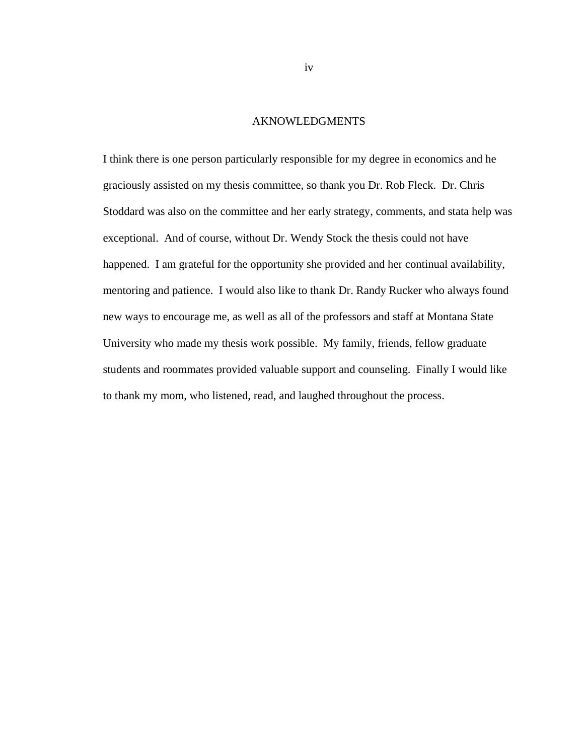#### AKNOWLEDGMENTS

I think there is one person particularly responsible for my degree in economics and he graciously assisted on my thesis committee, so thank you Dr. Rob Fleck. Dr. Chris Stoddard was also on the committee and her early strategy, comments, and stata help was exceptional. And of course, without Dr. Wendy Stock the thesis could not have happened. I am grateful for the opportunity she provided and her continual availability, mentoring and patience. I would also like to thank Dr. Randy Rucker who always found new ways to encourage me, as well as all of the professors and staff at Montana State University who made my thesis work possible. My family, friends, fellow graduate students and roommates provided valuable support and counseling. Finally I would like to thank my mom, who listened, read, and laughed throughout the process.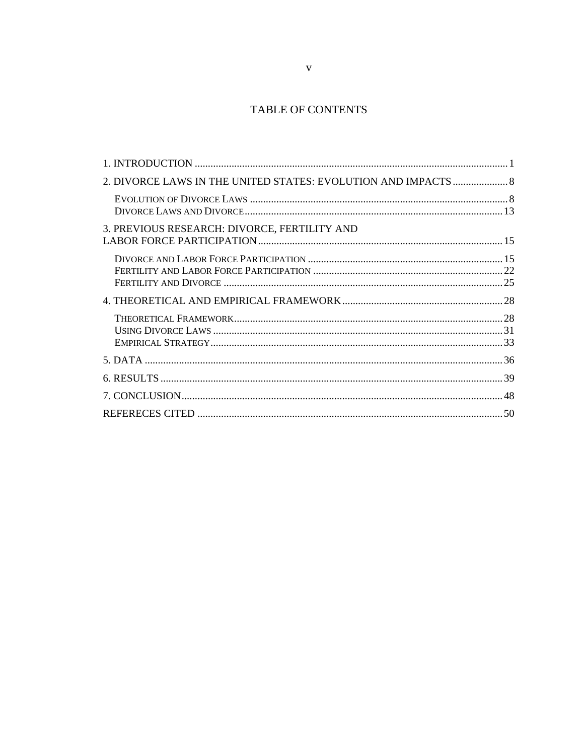# TABLE OF CONTENTS

| 2. DIVORCE LAWS IN THE UNITED STATES: EVOLUTION AND IMPACTS  8 |  |
|----------------------------------------------------------------|--|
|                                                                |  |
| 3. PREVIOUS RESEARCH: DIVORCE, FERTILITY AND                   |  |
|                                                                |  |
|                                                                |  |
|                                                                |  |
|                                                                |  |
|                                                                |  |
|                                                                |  |
|                                                                |  |
|                                                                |  |
|                                                                |  |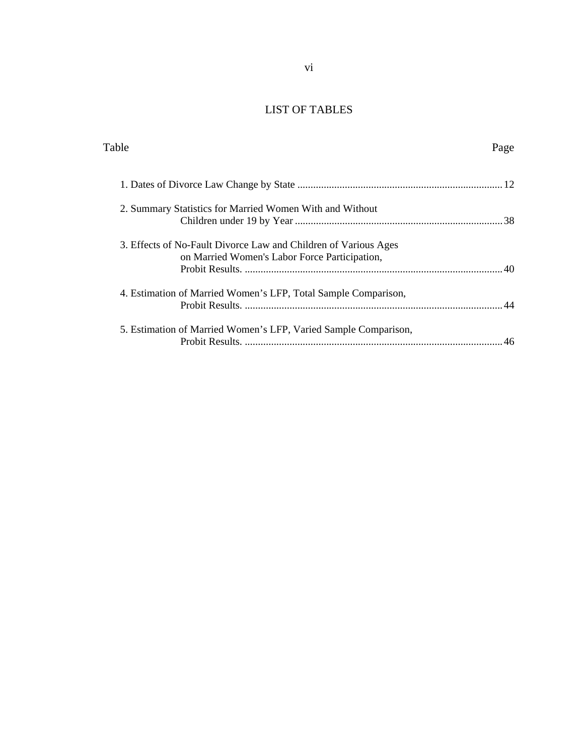# LIST OF TABLES

| Table                                                                                                            | Page |
|------------------------------------------------------------------------------------------------------------------|------|
|                                                                                                                  |      |
| 2. Summary Statistics for Married Women With and Without                                                         |      |
| 3. Effects of No-Fault Divorce Law and Children of Various Ages<br>on Married Women's Labor Force Participation, |      |
| 4. Estimation of Married Women's LFP, Total Sample Comparison,                                                   |      |
| 5. Estimation of Married Women's LFP, Varied Sample Comparison,                                                  |      |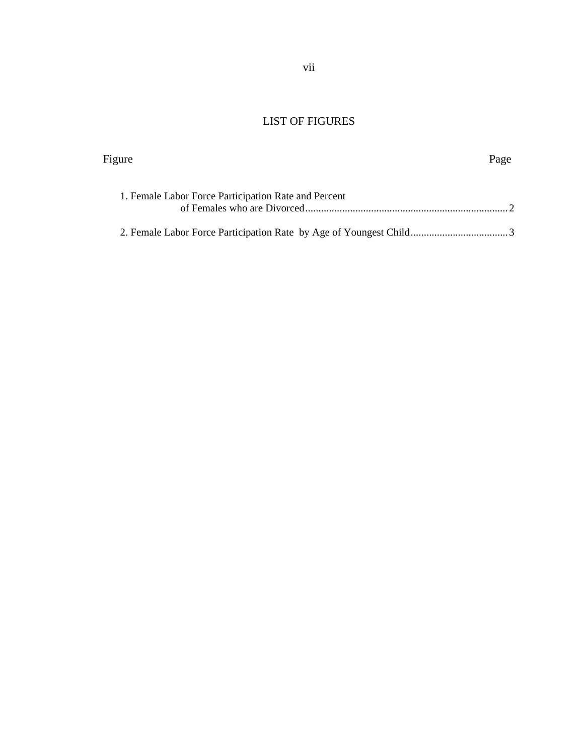# LIST OF FIGURES

Figure Page

| 1. Female Labor Force Participation Rate and Percent |  |
|------------------------------------------------------|--|
|                                                      |  |
|                                                      |  |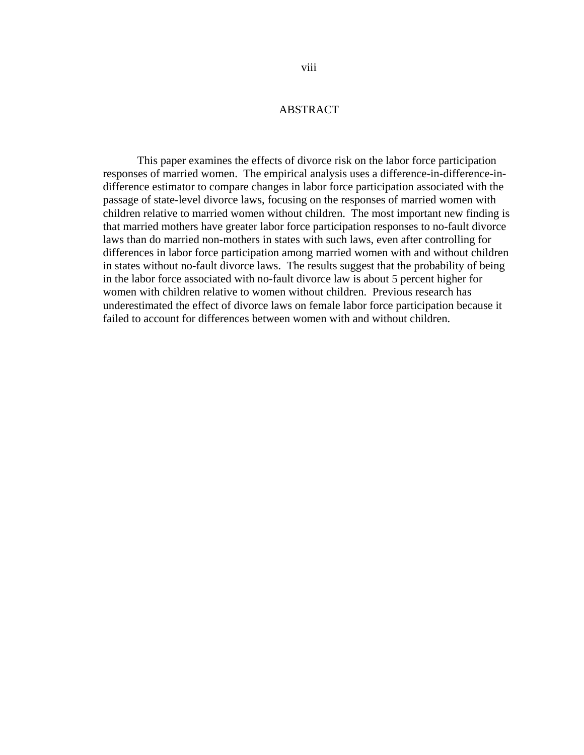## ABSTRACT

This paper examines the effects of divorce risk on the labor force participation responses of married women. The empirical analysis uses a difference-in-difference-indifference estimator to compare changes in labor force participation associated with the passage of state-level divorce laws, focusing on the responses of married women with children relative to married women without children. The most important new finding is that married mothers have greater labor force participation responses to no-fault divorce laws than do married non-mothers in states with such laws, even after controlling for differences in labor force participation among married women with and without children in states without no-fault divorce laws. The results suggest that the probability of being in the labor force associated with no-fault divorce law is about 5 percent higher for women with children relative to women without children. Previous research has underestimated the effect of divorce laws on female labor force participation because it failed to account for differences between women with and without children.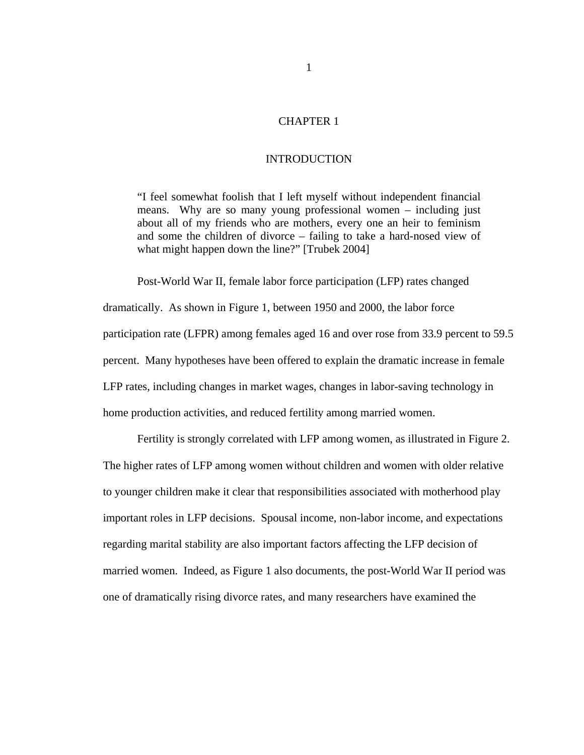#### CHAPTER 1

#### INTRODUCTION

"I feel somewhat foolish that I left myself without independent financial means. Why are so many young professional women – including just about all of my friends who are mothers, every one an heir to feminism and some the children of divorce – failing to take a hard-nosed view of what might happen down the line?" [Trubek 2004]

Post-World War II, female labor force participation (LFP) rates changed dramatically. As shown in Figure 1, between 1950 and 2000, the labor force participation rate (LFPR) among females aged 16 and over rose from 33.9 percent to 59.5 percent. Many hypotheses have been offered to explain the dramatic increase in female LFP rates, including changes in market wages, changes in labor-saving technology in home production activities, and reduced fertility among married women.

Fertility is strongly correlated with LFP among women, as illustrated in Figure 2. The higher rates of LFP among women without children and women with older relative to younger children make it clear that responsibilities associated with motherhood play important roles in LFP decisions. Spousal income, non-labor income, and expectations regarding marital stability are also important factors affecting the LFP decision of married women. Indeed, as Figure 1 also documents, the post-World War II period was one of dramatically rising divorce rates, and many researchers have examined the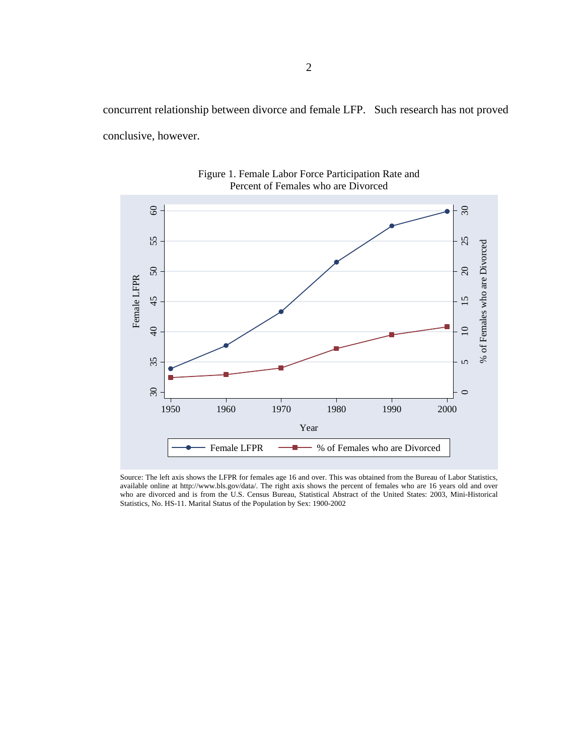concurrent relationship between divorce and female LFP. Such research has not proved conclusive, however.



Figure 1. Female Labor Force Participation Rate and Percent of Females who are Divorced

Source: The left axis shows the LFPR for females age 16 and over. This was obtained from the Bureau of Labor Statistics, available online at http://www.bls.gov/data/. The right axis shows the percent of females who are 16 years old and over who are divorced and is from the U.S. Census Bureau, Statistical Abstract of the United States: 2003, Mini-Historical Statistics, No. HS-11. Marital Status of the Population by Sex: 1900-2002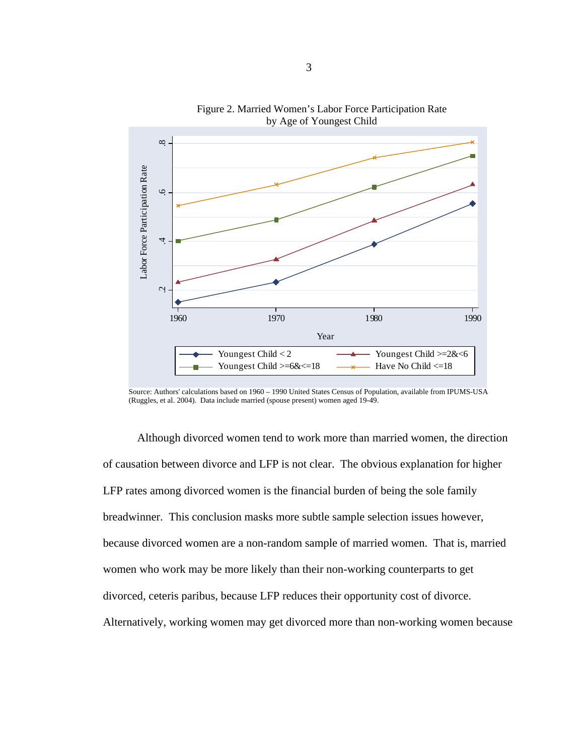

Figure 2. Married Women's Labor Force Participation Rate by Age of Youngest Child

Source: Authors' calculations based on 1960 – 1990 United States Census of Population, available from IPUMS-USA (Ruggles, et al. 2004). Data include married (spouse present) women aged 19-49.

Although divorced women tend to work more than married women, the direction of causation between divorce and LFP is not clear. The obvious explanation for higher LFP rates among divorced women is the financial burden of being the sole family breadwinner. This conclusion masks more subtle sample selection issues however, because divorced women are a non-random sample of married women. That is, married women who work may be more likely than their non-working counterparts to get divorced, ceteris paribus, because LFP reduces their opportunity cost of divorce. Alternatively, working women may get divorced more than non-working women because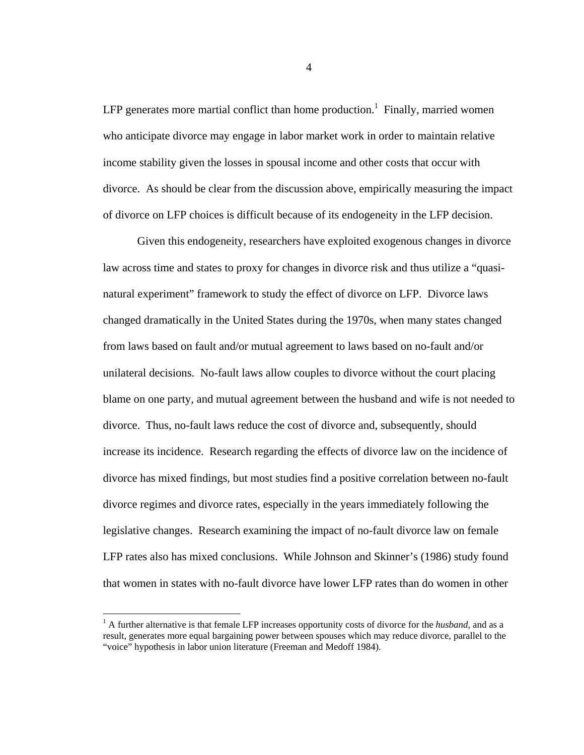LFP generates more martial conflict than home production.<sup>1</sup> Finally, married women who anticipate divorce may engage in labor market work in order to maintain relative income stability given the losses in spousal income and other costs that occur with divorce. As should be clear from the discussion above, empirically measuring the impact of divorce on LFP choices is difficult because of its endogeneity in the LFP decision.

Given this endogeneity, researchers have exploited exogenous changes in divorce law across time and states to proxy for changes in divorce risk and thus utilize a "quasinatural experiment" framework to study the effect of divorce on LFP. Divorce laws changed dramatically in the United States during the 1970s, when many states changed from laws based on fault and/or mutual agreement to laws based on no-fault and/or unilateral decisions. No-fault laws allow couples to divorce without the court placing blame on one party, and mutual agreement between the husband and wife is not needed to divorce. Thus, no-fault laws reduce the cost of divorce and, subsequently, should increase its incidence. Research regarding the effects of divorce law on the incidence of divorce has mixed findings, but most studies find a positive correlation between no-fault divorce regimes and divorce rates, especially in the years immediately following the legislative changes. Research examining the impact of no-fault divorce law on female LFP rates also has mixed conclusions. While Johnson and Skinner's (1986) study found that women in states with no-fault divorce have lower LFP rates than do women in other

1

<sup>&</sup>lt;sup>1</sup> A further alternative is that female LFP increases opportunity costs of divorce for the *husband*, and as a result, generates more equal bargaining power between spouses which may reduce divorce, parallel to the "voice" hypothesis in labor union literature (Freeman and Medoff 1984).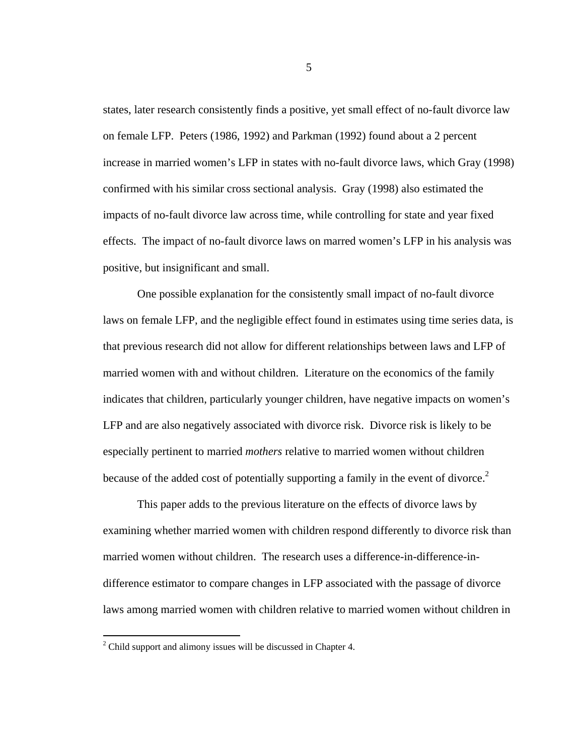states, later research consistently finds a positive, yet small effect of no-fault divorce law on female LFP. Peters (1986, 1992) and Parkman (1992) found about a 2 percent increase in married women's LFP in states with no-fault divorce laws, which Gray (1998) confirmed with his similar cross sectional analysis. Gray (1998) also estimated the impacts of no-fault divorce law across time, while controlling for state and year fixed effects. The impact of no-fault divorce laws on marred women's LFP in his analysis was positive, but insignificant and small.

One possible explanation for the consistently small impact of no-fault divorce laws on female LFP, and the negligible effect found in estimates using time series data, is that previous research did not allow for different relationships between laws and LFP of married women with and without children. Literature on the economics of the family indicates that children, particularly younger children, have negative impacts on women's LFP and are also negatively associated with divorce risk. Divorce risk is likely to be especially pertinent to married *mothers* relative to married women without children because of the added cost of potentially supporting a family in the event of divorce.<sup>2</sup>

This paper adds to the previous literature on the effects of divorce laws by examining whether married women with children respond differently to divorce risk than married women without children. The research uses a difference-in-difference-indifference estimator to compare changes in LFP associated with the passage of divorce laws among married women with children relative to married women without children in

<u>.</u>

 $2^2$  Child support and alimony issues will be discussed in Chapter 4.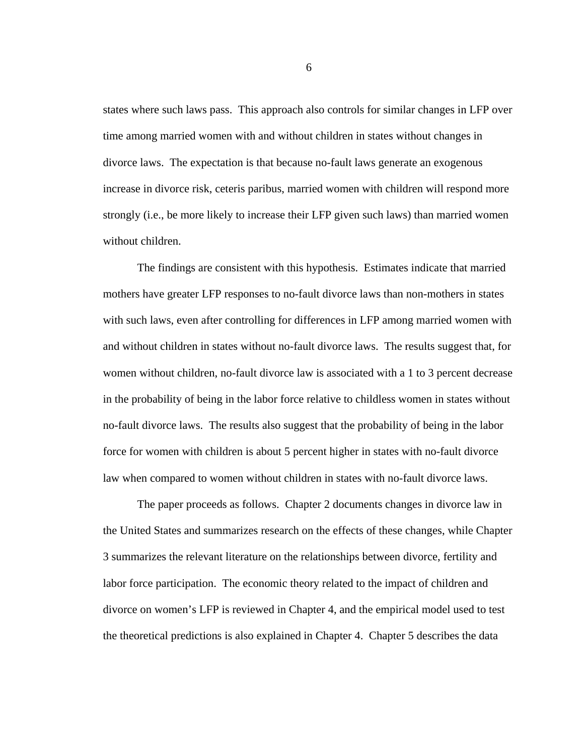states where such laws pass. This approach also controls for similar changes in LFP over time among married women with and without children in states without changes in divorce laws. The expectation is that because no-fault laws generate an exogenous increase in divorce risk, ceteris paribus, married women with children will respond more strongly (i.e., be more likely to increase their LFP given such laws) than married women without children.

The findings are consistent with this hypothesis. Estimates indicate that married mothers have greater LFP responses to no-fault divorce laws than non-mothers in states with such laws, even after controlling for differences in LFP among married women with and without children in states without no-fault divorce laws. The results suggest that, for women without children, no-fault divorce law is associated with a 1 to 3 percent decrease in the probability of being in the labor force relative to childless women in states without no-fault divorce laws. The results also suggest that the probability of being in the labor force for women with children is about 5 percent higher in states with no-fault divorce law when compared to women without children in states with no-fault divorce laws.

The paper proceeds as follows. Chapter 2 documents changes in divorce law in the United States and summarizes research on the effects of these changes, while Chapter 3 summarizes the relevant literature on the relationships between divorce, fertility and labor force participation. The economic theory related to the impact of children and divorce on women's LFP is reviewed in Chapter 4, and the empirical model used to test the theoretical predictions is also explained in Chapter 4. Chapter 5 describes the data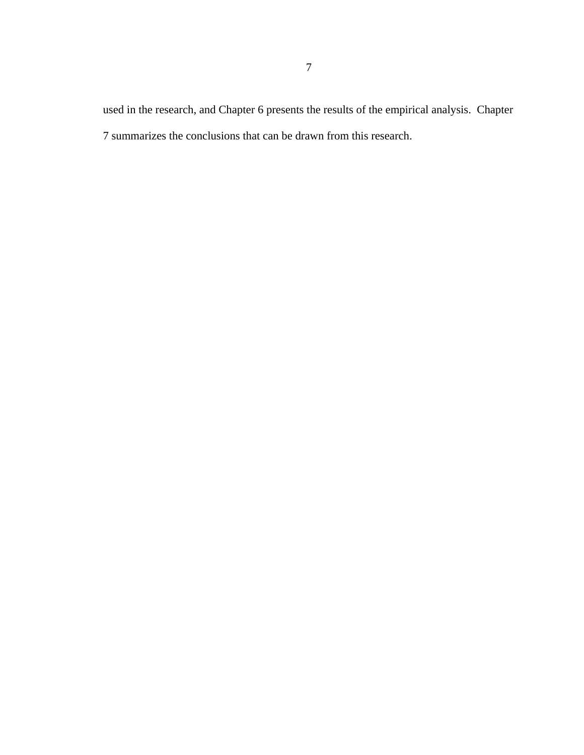used in the research, and Chapter 6 presents the results of the empirical analysis. Chapter 7 summarizes the conclusions that can be drawn from this research.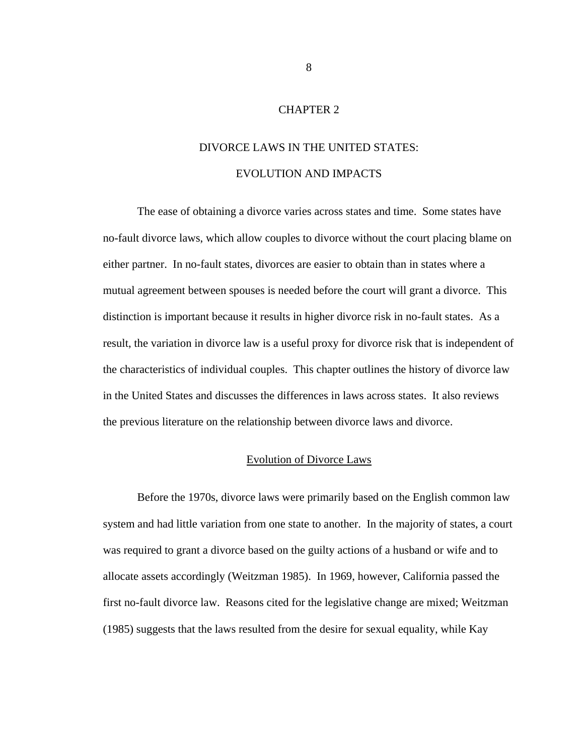# CHAPTER 2

# DIVORCE LAWS IN THE UNITED STATES: EVOLUTION AND IMPACTS

The ease of obtaining a divorce varies across states and time. Some states have no-fault divorce laws, which allow couples to divorce without the court placing blame on either partner. In no-fault states, divorces are easier to obtain than in states where a mutual agreement between spouses is needed before the court will grant a divorce. This distinction is important because it results in higher divorce risk in no-fault states. As a result, the variation in divorce law is a useful proxy for divorce risk that is independent of the characteristics of individual couples. This chapter outlines the history of divorce law in the United States and discusses the differences in laws across states. It also reviews the previous literature on the relationship between divorce laws and divorce.

#### Evolution of Divorce Laws

Before the 1970s, divorce laws were primarily based on the English common law system and had little variation from one state to another. In the majority of states, a court was required to grant a divorce based on the guilty actions of a husband or wife and to allocate assets accordingly (Weitzman 1985). In 1969, however, California passed the first no-fault divorce law. Reasons cited for the legislative change are mixed; Weitzman (1985) suggests that the laws resulted from the desire for sexual equality, while Kay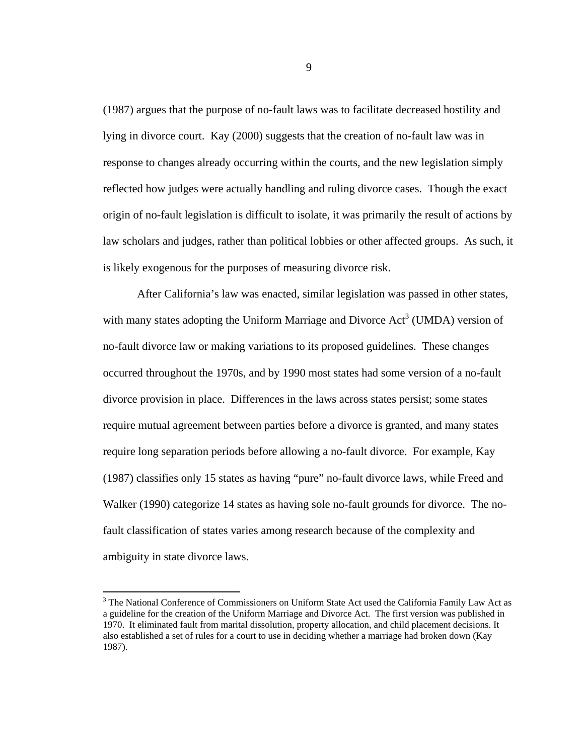(1987) argues that the purpose of no-fault laws was to facilitate decreased hostility and lying in divorce court. Kay (2000) suggests that the creation of no-fault law was in response to changes already occurring within the courts, and the new legislation simply reflected how judges were actually handling and ruling divorce cases. Though the exact origin of no-fault legislation is difficult to isolate, it was primarily the result of actions by law scholars and judges, rather than political lobbies or other affected groups. As such, it is likely exogenous for the purposes of measuring divorce risk.

After California's law was enacted, similar legislation was passed in other states, with many states adopting the Uniform Marriage and Divorce  $Act<sup>3</sup>$  (UMDA) version of no-fault divorce law or making variations to its proposed guidelines. These changes occurred throughout the 1970s, and by 1990 most states had some version of a no-fault divorce provision in place. Differences in the laws across states persist; some states require mutual agreement between parties before a divorce is granted, and many states require long separation periods before allowing a no-fault divorce. For example, Kay (1987) classifies only 15 states as having "pure" no-fault divorce laws, while Freed and Walker (1990) categorize 14 states as having sole no-fault grounds for divorce. The nofault classification of states varies among research because of the complexity and ambiguity in state divorce laws.

1

<sup>&</sup>lt;sup>3</sup> The National Conference of Commissioners on Uniform State Act used the California Family Law Act as a guideline for the creation of the Uniform Marriage and Divorce Act. The first version was published in 1970. It eliminated fault from marital dissolution, property allocation, and child placement decisions. It also established a set of rules for a court to use in deciding whether a marriage had broken down (Kay 1987).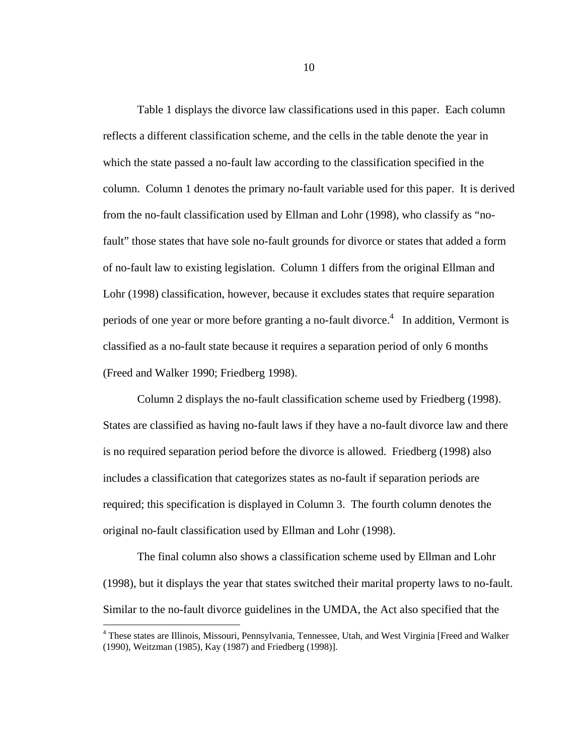Table 1 displays the divorce law classifications used in this paper. Each column reflects a different classification scheme, and the cells in the table denote the year in which the state passed a no-fault law according to the classification specified in the column. Column 1 denotes the primary no-fault variable used for this paper. It is derived from the no-fault classification used by Ellman and Lohr (1998), who classify as "nofault" those states that have sole no-fault grounds for divorce or states that added a form of no-fault law to existing legislation. Column 1 differs from the original Ellman and Lohr (1998) classification, however, because it excludes states that require separation periods of one year or more before granting a no-fault divorce.<sup>4</sup> In addition, Vermont is classified as a no-fault state because it requires a separation period of only 6 months (Freed and Walker 1990; Friedberg 1998).

Column 2 displays the no-fault classification scheme used by Friedberg (1998). States are classified as having no-fault laws if they have a no-fault divorce law and there is no required separation period before the divorce is allowed. Friedberg (1998) also includes a classification that categorizes states as no-fault if separation periods are required; this specification is displayed in Column 3. The fourth column denotes the original no-fault classification used by Ellman and Lohr (1998).

The final column also shows a classification scheme used by Ellman and Lohr (1998), but it displays the year that states switched their marital property laws to no-fault. Similar to the no-fault divorce guidelines in the UMDA, the Act also specified that the

 $\overline{a}$ 

<sup>&</sup>lt;sup>4</sup> These states are Illinois, Missouri, Pennsylvania, Tennessee, Utah, and West Virginia [Freed and Walker (1990), Weitzman (1985), Kay (1987) and Friedberg (1998)].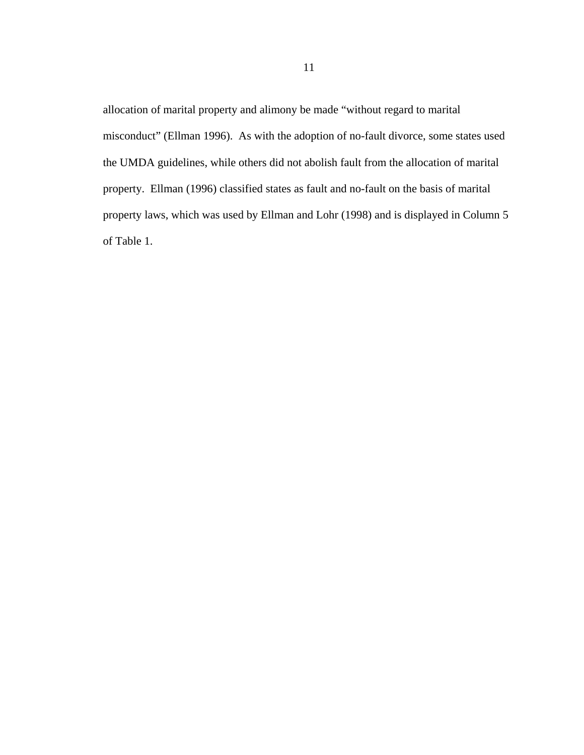allocation of marital property and alimony be made "without regard to marital misconduct" (Ellman 1996). As with the adoption of no-fault divorce, some states used the UMDA guidelines, while others did not abolish fault from the allocation of marital property. Ellman (1996) classified states as fault and no-fault on the basis of marital property laws, which was used by Ellman and Lohr (1998) and is displayed in Column 5 of Table 1.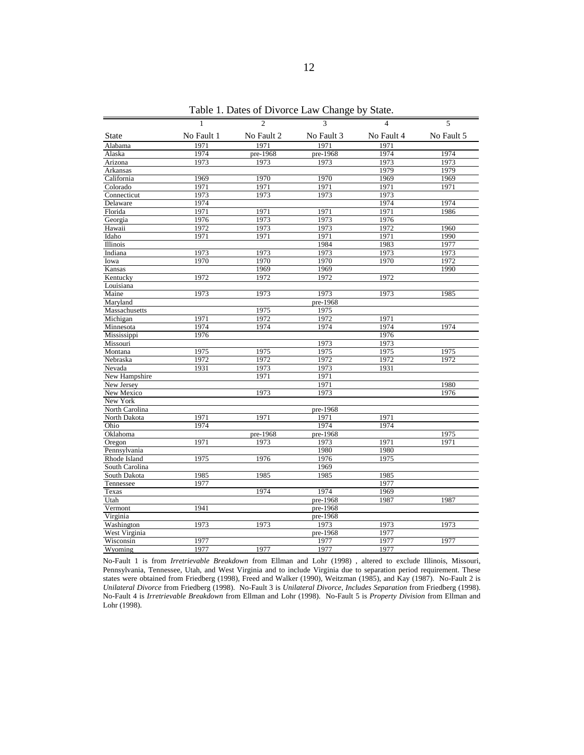|                | $\mathbf{1}$ | $\overline{c}$ | 3          | $\overline{4}$ | 5          |
|----------------|--------------|----------------|------------|----------------|------------|
| <b>State</b>   | No Fault 1   | No Fault 2     | No Fault 3 | No Fault 4     | No Fault 5 |
| Alabama        | 1971         | 1971           | 1971       | 1971           |            |
| Alaska         | 1974         | pre-1968       | pre-1968   | 1974           | 1974       |
| Arizona        | 1973         | 1973           | 1973       | 1973           | 1973       |
| Arkansas       |              |                |            | 1979           | 1979       |
| California     | 1969         | 1970           | 1970       | 1969           | 1969       |
| Colorado       | 1971         | 1971           | 1971       | 1971           | 1971       |
| Connecticut    | 1973         | 1973           | 1973       | 1973           |            |
| Delaware       | 1974         |                |            | 1974           | 1974       |
| Florida        | 1971         | 1971           | 1971       | 1971           | 1986       |
| Georgia        | 1976         | 1973           | 1973       | 1976           |            |
| Hawaii         | 1972         | 1973           | 1973       | 1972           | 1960       |
| Idaho          | 1971         | 1971           | 1971       | 1971           | 1990       |
| Illinois       |              |                | 1984       | 1983           | 1977       |
| Indiana        | 1973         | 1973           | 1973       | 1973           | 1973       |
| Iowa           | 1970         | 1970           | 1970       | 1970           | 1972       |
| Kansas         |              | 1969           | 1969       |                | 1990       |
| Kentucky       | 1972         | 1972           | 1972       | 1972           |            |
| Louisiana      |              |                |            |                |            |
| Maine          | 1973         | 1973           | 1973       | 1973           | 1985       |
| Maryland       |              |                | pre-1968   |                |            |
| Massachusetts  |              | 1975           | 1975       |                |            |
| Michigan       | 1971         | 1972           | 1972       | 1971           |            |
| Minnesota      | 1974         | 1974           | 1974       | 1974           | 1974       |
| Mississippi    | 1976         |                |            | 1976           |            |
| Missouri       |              |                | 1973       | 1973           |            |
| Montana        | 1975         | 1975           | 1975       | 1975           | 1975       |
| Nebraska       | 1972         | 1972           | 1972       | 1972           | 1972       |
| Nevada         | 1931         | 1973           | 1973       | 1931           |            |
| New Hampshire  |              | 1971           | 1971       |                |            |
| New Jersey     |              |                | 1971       |                | 1980       |
| New Mexico     |              | 1973           | 1973       |                | 1976       |
| New York       |              |                |            |                |            |
| North Carolina |              |                | pre-1968   |                |            |
| North Dakota   | 1971         | 1971           | 1971       | 1971           |            |
| Ohio           | 1974         |                | 1974       | 1974           |            |
| Oklahoma       |              | pre-1968       | pre-1968   |                | 1975       |
| Oregon         | 1971         | 1973           | 1973       | 1971           | 1971       |
| Pennsylvania   |              |                | 1980       | 1980           |            |
| Rhode Island   | 1975         | 1976           | 1976       | 1975           |            |
| South Carolina |              |                | 1969       |                |            |
| South Dakota   | 1985         | 1985           | 1985       | 1985           |            |
| Tennessee      | 1977         |                |            | 1977           |            |
| Texas          |              | 1974           | 1974       | 1969           |            |
| Utah           |              |                | pre-1968   | 1987           | 1987       |
| Vermont        | 1941         |                | pre-1968   |                |            |
| Virginia       |              |                | pre-1968   |                |            |
| Washington     | 1973         | 1973           | 1973       | 1973           | 1973       |
| West Virginia  |              |                | pre-1968   | 1977           |            |
| Wisconsin      | 1977         |                | 1977       | 1977           | 1977       |
| Wyoming        | 1977         | 1977           | 1977       | 1977           |            |

Table 1. Dates of Divorce Law Change by State.

No-Fault 1 is from *Irretrievable Breakdown* from Ellman and Lohr (1998) , altered to exclude Illinois, Missouri, Pennsylvania, Tennessee, Utah, and West Virginia and to include Virginia due to separation period requirement. These states were obtained from Friedberg (1998), Freed and Walker (1990), Weitzman (1985), and Kay (1987). No-Fault 2 is *Unilateral Divorce* from Friedberg (1998). No-Fault 3 is *Unilateral Divorce, Includes Separation* from Friedberg (1998). No-Fault 4 is *Irretrievable Breakdown* from Ellman and Lohr (1998). No-Fault 5 is *Property Division* from Ellman and Lohr (1998).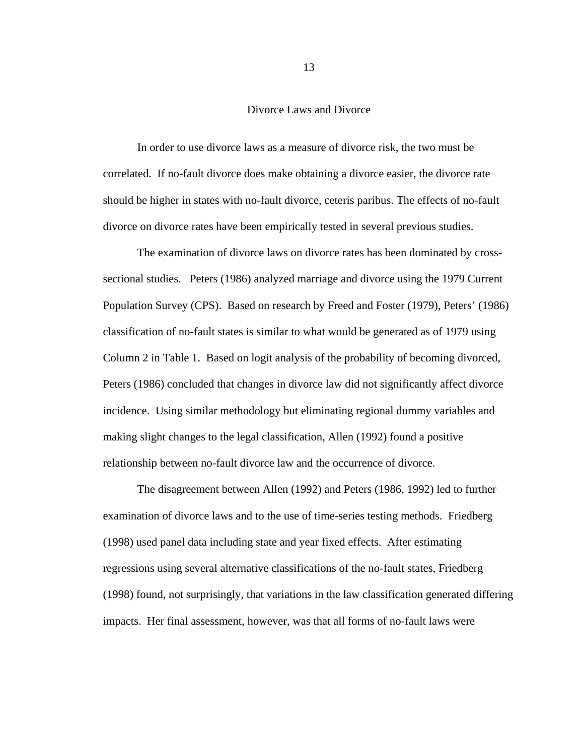## Divorce Laws and Divorce

In order to use divorce laws as a measure of divorce risk, the two must be correlated. If no-fault divorce does make obtaining a divorce easier, the divorce rate should be higher in states with no-fault divorce, ceteris paribus. The effects of no-fault divorce on divorce rates have been empirically tested in several previous studies.

The examination of divorce laws on divorce rates has been dominated by crosssectional studies. Peters (1986) analyzed marriage and divorce using the 1979 Current Population Survey (CPS). Based on research by Freed and Foster (1979), Peters' (1986) classification of no-fault states is similar to what would be generated as of 1979 using Column 2 in Table 1. Based on logit analysis of the probability of becoming divorced, Peters (1986) concluded that changes in divorce law did not significantly affect divorce incidence. Using similar methodology but eliminating regional dummy variables and making slight changes to the legal classification, Allen (1992) found a positive relationship between no-fault divorce law and the occurrence of divorce.

The disagreement between Allen (1992) and Peters (1986, 1992) led to further examination of divorce laws and to the use of time-series testing methods. Friedberg (1998) used panel data including state and year fixed effects. After estimating regressions using several alternative classifications of the no-fault states, Friedberg (1998) found, not surprisingly, that variations in the law classification generated differing impacts. Her final assessment, however, was that all forms of no-fault laws were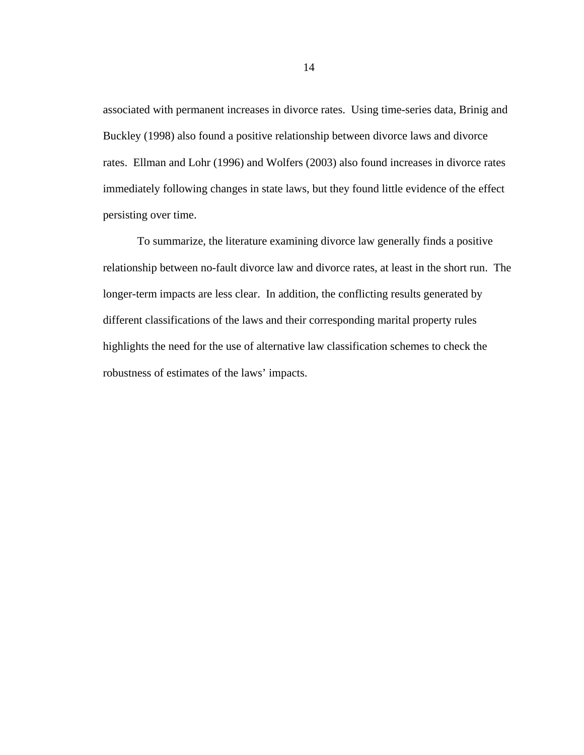associated with permanent increases in divorce rates. Using time-series data, Brinig and Buckley (1998) also found a positive relationship between divorce laws and divorce rates. Ellman and Lohr (1996) and Wolfers (2003) also found increases in divorce rates immediately following changes in state laws, but they found little evidence of the effect persisting over time.

To summarize, the literature examining divorce law generally finds a positive relationship between no-fault divorce law and divorce rates, at least in the short run. The longer-term impacts are less clear. In addition, the conflicting results generated by different classifications of the laws and their corresponding marital property rules highlights the need for the use of alternative law classification schemes to check the robustness of estimates of the laws' impacts.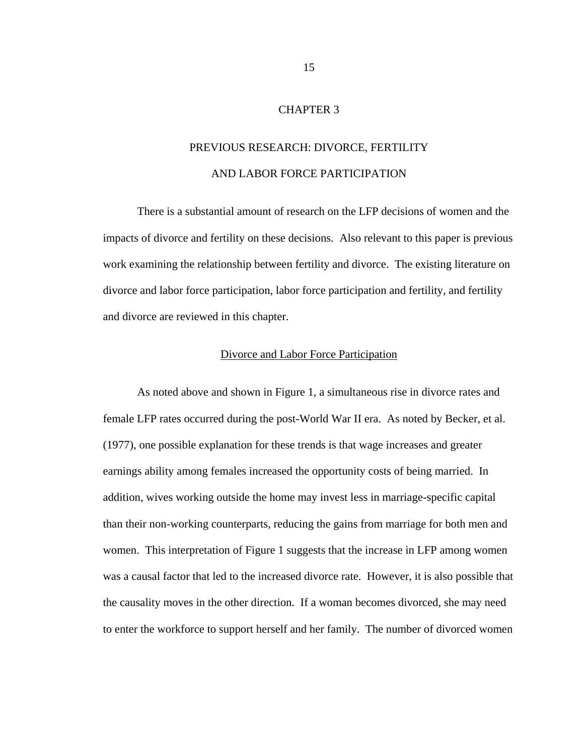# CHAPTER 3

# PREVIOUS RESEARCH: DIVORCE, FERTILITY AND LABOR FORCE PARTICIPATION

There is a substantial amount of research on the LFP decisions of women and the impacts of divorce and fertility on these decisions. Also relevant to this paper is previous work examining the relationship between fertility and divorce. The existing literature on divorce and labor force participation, labor force participation and fertility, and fertility and divorce are reviewed in this chapter.

#### Divorce and Labor Force Participation

As noted above and shown in Figure 1, a simultaneous rise in divorce rates and female LFP rates occurred during the post-World War II era. As noted by Becker, et al. (1977), one possible explanation for these trends is that wage increases and greater earnings ability among females increased the opportunity costs of being married. In addition, wives working outside the home may invest less in marriage-specific capital than their non-working counterparts, reducing the gains from marriage for both men and women. This interpretation of Figure 1 suggests that the increase in LFP among women was a causal factor that led to the increased divorce rate. However, it is also possible that the causality moves in the other direction. If a woman becomes divorced, she may need to enter the workforce to support herself and her family. The number of divorced women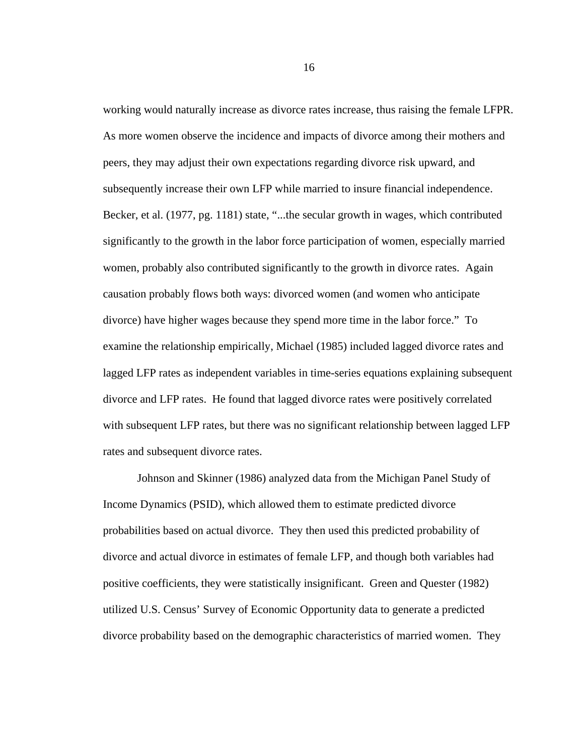working would naturally increase as divorce rates increase, thus raising the female LFPR. As more women observe the incidence and impacts of divorce among their mothers and peers, they may adjust their own expectations regarding divorce risk upward, and subsequently increase their own LFP while married to insure financial independence. Becker, et al. (1977, pg. 1181) state, "...the secular growth in wages, which contributed significantly to the growth in the labor force participation of women, especially married women, probably also contributed significantly to the growth in divorce rates. Again causation probably flows both ways: divorced women (and women who anticipate divorce) have higher wages because they spend more time in the labor force." To examine the relationship empirically, Michael (1985) included lagged divorce rates and lagged LFP rates as independent variables in time-series equations explaining subsequent divorce and LFP rates. He found that lagged divorce rates were positively correlated with subsequent LFP rates, but there was no significant relationship between lagged LFP rates and subsequent divorce rates.

Johnson and Skinner (1986) analyzed data from the Michigan Panel Study of Income Dynamics (PSID), which allowed them to estimate predicted divorce probabilities based on actual divorce. They then used this predicted probability of divorce and actual divorce in estimates of female LFP, and though both variables had positive coefficients, they were statistically insignificant. Green and Quester (1982) utilized U.S. Census' Survey of Economic Opportunity data to generate a predicted divorce probability based on the demographic characteristics of married women. They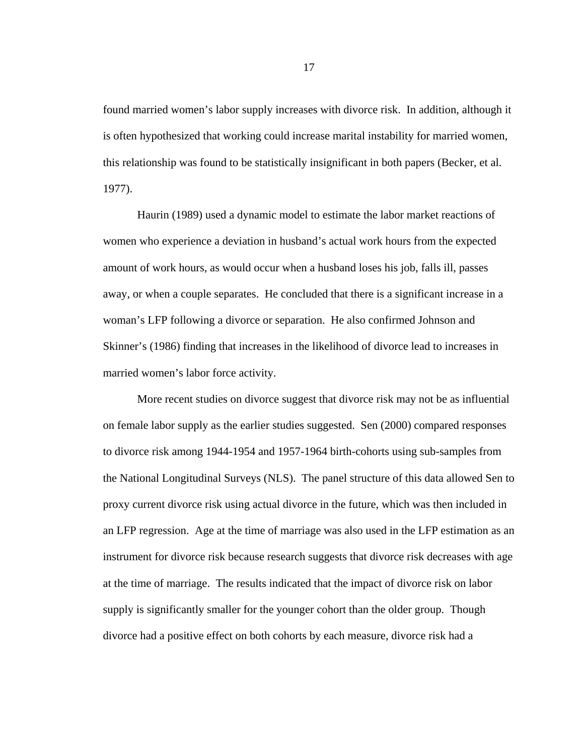found married women's labor supply increases with divorce risk. In addition, although it is often hypothesized that working could increase marital instability for married women, this relationship was found to be statistically insignificant in both papers (Becker, et al. 1977).

Haurin (1989) used a dynamic model to estimate the labor market reactions of women who experience a deviation in husband's actual work hours from the expected amount of work hours, as would occur when a husband loses his job, falls ill, passes away, or when a couple separates. He concluded that there is a significant increase in a woman's LFP following a divorce or separation. He also confirmed Johnson and Skinner's (1986) finding that increases in the likelihood of divorce lead to increases in married women's labor force activity.

More recent studies on divorce suggest that divorce risk may not be as influential on female labor supply as the earlier studies suggested. Sen (2000) compared responses to divorce risk among 1944-1954 and 1957-1964 birth-cohorts using sub-samples from the National Longitudinal Surveys (NLS). The panel structure of this data allowed Sen to proxy current divorce risk using actual divorce in the future, which was then included in an LFP regression. Age at the time of marriage was also used in the LFP estimation as an instrument for divorce risk because research suggests that divorce risk decreases with age at the time of marriage. The results indicated that the impact of divorce risk on labor supply is significantly smaller for the younger cohort than the older group. Though divorce had a positive effect on both cohorts by each measure, divorce risk had a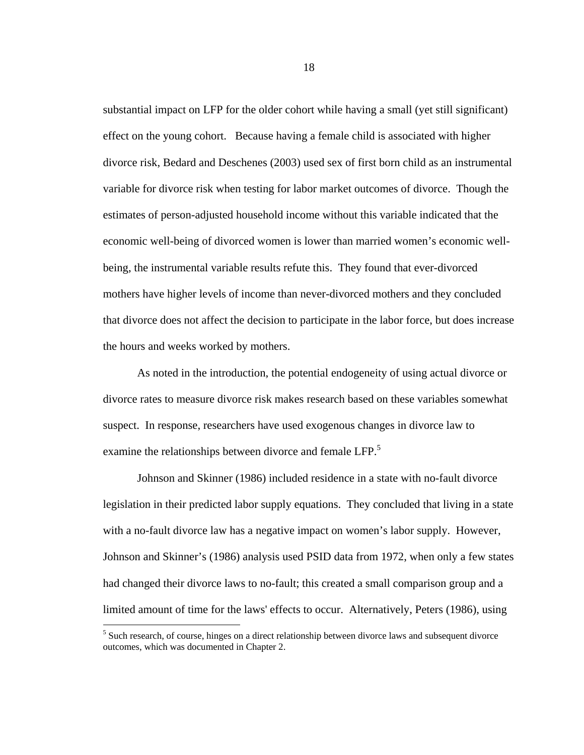substantial impact on LFP for the older cohort while having a small (yet still significant) effect on the young cohort. Because having a female child is associated with higher divorce risk, Bedard and Deschenes (2003) used sex of first born child as an instrumental variable for divorce risk when testing for labor market outcomes of divorce. Though the estimates of person-adjusted household income without this variable indicated that the economic well-being of divorced women is lower than married women's economic wellbeing, the instrumental variable results refute this. They found that ever-divorced mothers have higher levels of income than never-divorced mothers and they concluded that divorce does not affect the decision to participate in the labor force, but does increase the hours and weeks worked by mothers.

As noted in the introduction, the potential endogeneity of using actual divorce or divorce rates to measure divorce risk makes research based on these variables somewhat suspect. In response, researchers have used exogenous changes in divorce law to examine the relationships between divorce and female LFP.<sup>5</sup>

Johnson and Skinner (1986) included residence in a state with no-fault divorce legislation in their predicted labor supply equations. They concluded that living in a state with a no-fault divorce law has a negative impact on women's labor supply. However, Johnson and Skinner's (1986) analysis used PSID data from 1972, when only a few states had changed their divorce laws to no-fault; this created a small comparison group and a limited amount of time for the laws' effects to occur. Alternatively, Peters (1986), using

1

<sup>&</sup>lt;sup>5</sup> Such research, of course, hinges on a direct relationship between divorce laws and subsequent divorce outcomes, which was documented in Chapter 2.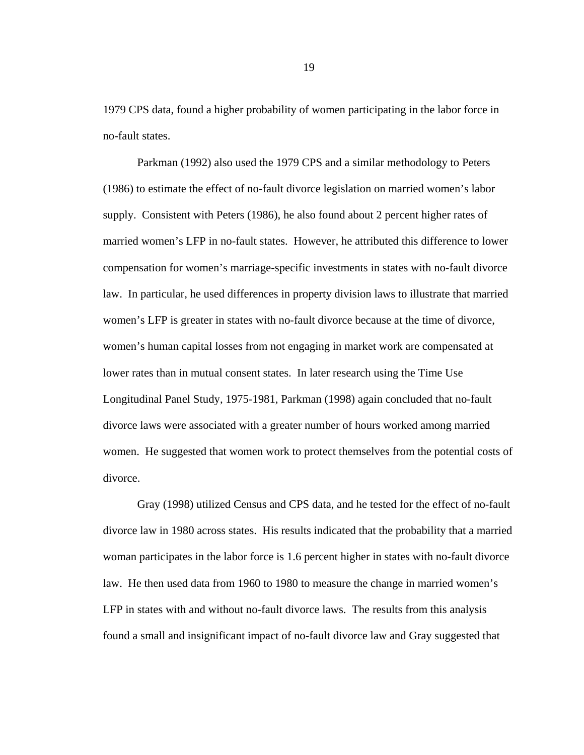1979 CPS data, found a higher probability of women participating in the labor force in no-fault states.

Parkman (1992) also used the 1979 CPS and a similar methodology to Peters (1986) to estimate the effect of no-fault divorce legislation on married women's labor supply. Consistent with Peters (1986), he also found about 2 percent higher rates of married women's LFP in no-fault states. However, he attributed this difference to lower compensation for women's marriage-specific investments in states with no-fault divorce law. In particular, he used differences in property division laws to illustrate that married women's LFP is greater in states with no-fault divorce because at the time of divorce, women's human capital losses from not engaging in market work are compensated at lower rates than in mutual consent states. In later research using the Time Use Longitudinal Panel Study, 1975-1981, Parkman (1998) again concluded that no-fault divorce laws were associated with a greater number of hours worked among married women. He suggested that women work to protect themselves from the potential costs of divorce.

Gray (1998) utilized Census and CPS data, and he tested for the effect of no-fault divorce law in 1980 across states. His results indicated that the probability that a married woman participates in the labor force is 1.6 percent higher in states with no-fault divorce law. He then used data from 1960 to 1980 to measure the change in married women's LFP in states with and without no-fault divorce laws. The results from this analysis found a small and insignificant impact of no-fault divorce law and Gray suggested that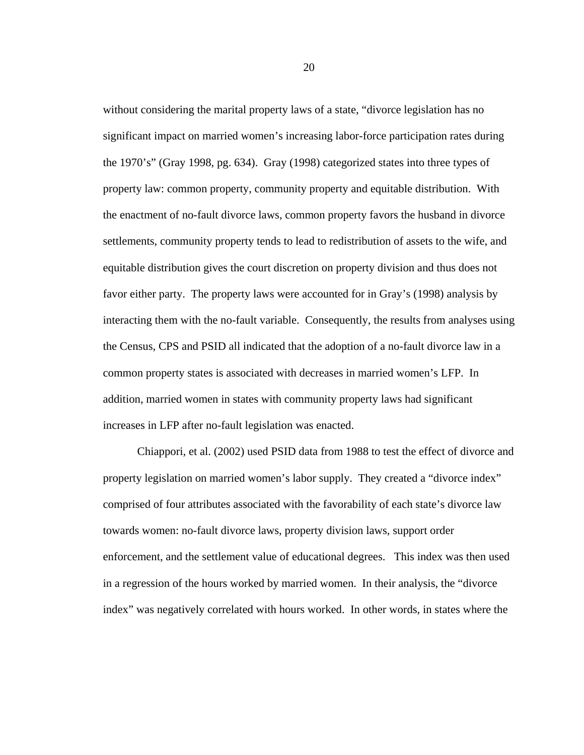without considering the marital property laws of a state, "divorce legislation has no significant impact on married women's increasing labor-force participation rates during the 1970's" (Gray 1998, pg. 634). Gray (1998) categorized states into three types of property law: common property, community property and equitable distribution. With the enactment of no-fault divorce laws, common property favors the husband in divorce settlements, community property tends to lead to redistribution of assets to the wife, and equitable distribution gives the court discretion on property division and thus does not favor either party. The property laws were accounted for in Gray's (1998) analysis by interacting them with the no-fault variable. Consequently, the results from analyses using the Census, CPS and PSID all indicated that the adoption of a no-fault divorce law in a common property states is associated with decreases in married women's LFP. In addition, married women in states with community property laws had significant increases in LFP after no-fault legislation was enacted.

Chiappori, et al. (2002) used PSID data from 1988 to test the effect of divorce and property legislation on married women's labor supply. They created a "divorce index" comprised of four attributes associated with the favorability of each state's divorce law towards women: no-fault divorce laws, property division laws, support order enforcement, and the settlement value of educational degrees. This index was then used in a regression of the hours worked by married women. In their analysis, the "divorce index" was negatively correlated with hours worked. In other words, in states where the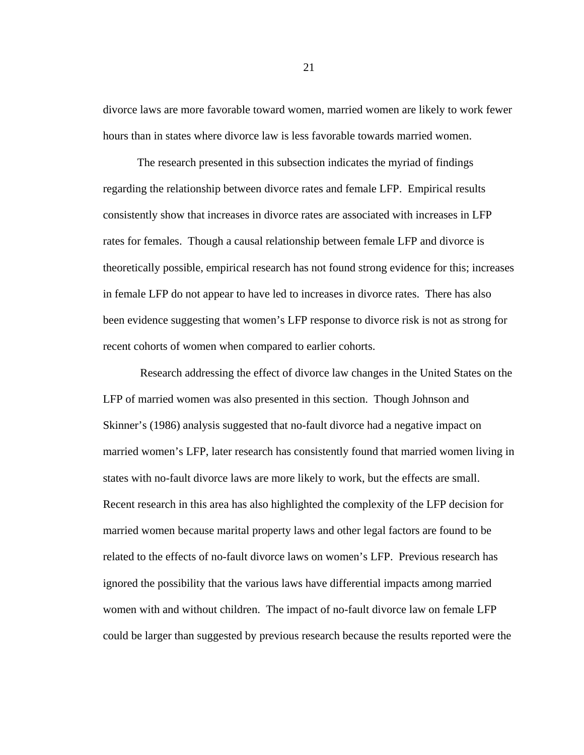divorce laws are more favorable toward women, married women are likely to work fewer hours than in states where divorce law is less favorable towards married women.

The research presented in this subsection indicates the myriad of findings regarding the relationship between divorce rates and female LFP. Empirical results consistently show that increases in divorce rates are associated with increases in LFP rates for females. Though a causal relationship between female LFP and divorce is theoretically possible, empirical research has not found strong evidence for this; increases in female LFP do not appear to have led to increases in divorce rates. There has also been evidence suggesting that women's LFP response to divorce risk is not as strong for recent cohorts of women when compared to earlier cohorts.

 Research addressing the effect of divorce law changes in the United States on the LFP of married women was also presented in this section. Though Johnson and Skinner's (1986) analysis suggested that no-fault divorce had a negative impact on married women's LFP, later research has consistently found that married women living in states with no-fault divorce laws are more likely to work, but the effects are small. Recent research in this area has also highlighted the complexity of the LFP decision for married women because marital property laws and other legal factors are found to be related to the effects of no-fault divorce laws on women's LFP. Previous research has ignored the possibility that the various laws have differential impacts among married women with and without children. The impact of no-fault divorce law on female LFP could be larger than suggested by previous research because the results reported were the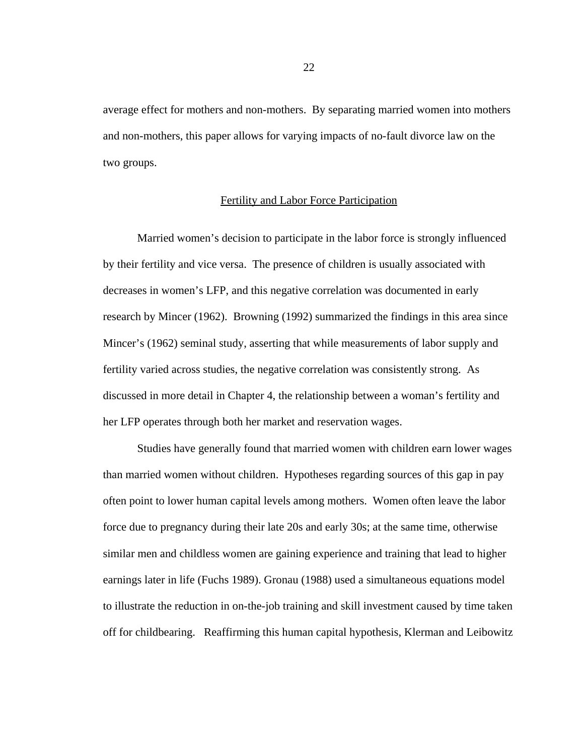average effect for mothers and non-mothers. By separating married women into mothers and non-mothers, this paper allows for varying impacts of no-fault divorce law on the two groups.

#### Fertility and Labor Force Participation

Married women's decision to participate in the labor force is strongly influenced by their fertility and vice versa. The presence of children is usually associated with decreases in women's LFP, and this negative correlation was documented in early research by Mincer (1962). Browning (1992) summarized the findings in this area since Mincer's (1962) seminal study, asserting that while measurements of labor supply and fertility varied across studies, the negative correlation was consistently strong. As discussed in more detail in Chapter 4, the relationship between a woman's fertility and her LFP operates through both her market and reservation wages.

 Studies have generally found that married women with children earn lower wages than married women without children. Hypotheses regarding sources of this gap in pay often point to lower human capital levels among mothers. Women often leave the labor force due to pregnancy during their late 20s and early 30s; at the same time, otherwise similar men and childless women are gaining experience and training that lead to higher earnings later in life (Fuchs 1989). Gronau (1988) used a simultaneous equations model to illustrate the reduction in on-the-job training and skill investment caused by time taken off for childbearing. Reaffirming this human capital hypothesis, Klerman and Leibowitz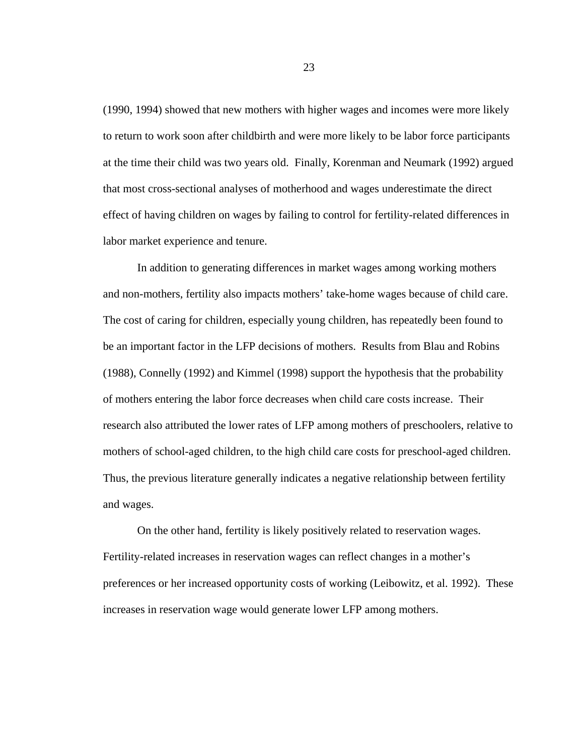(1990, 1994) showed that new mothers with higher wages and incomes were more likely to return to work soon after childbirth and were more likely to be labor force participants at the time their child was two years old. Finally, Korenman and Neumark (1992) argued that most cross-sectional analyses of motherhood and wages underestimate the direct effect of having children on wages by failing to control for fertility-related differences in labor market experience and tenure.

 In addition to generating differences in market wages among working mothers and non-mothers, fertility also impacts mothers' take-home wages because of child care. The cost of caring for children, especially young children, has repeatedly been found to be an important factor in the LFP decisions of mothers. Results from Blau and Robins (1988), Connelly (1992) and Kimmel (1998) support the hypothesis that the probability of mothers entering the labor force decreases when child care costs increase. Their research also attributed the lower rates of LFP among mothers of preschoolers, relative to mothers of school-aged children, to the high child care costs for preschool-aged children. Thus, the previous literature generally indicates a negative relationship between fertility and wages.

 On the other hand, fertility is likely positively related to reservation wages. Fertility-related increases in reservation wages can reflect changes in a mother's preferences or her increased opportunity costs of working (Leibowitz, et al. 1992). These increases in reservation wage would generate lower LFP among mothers.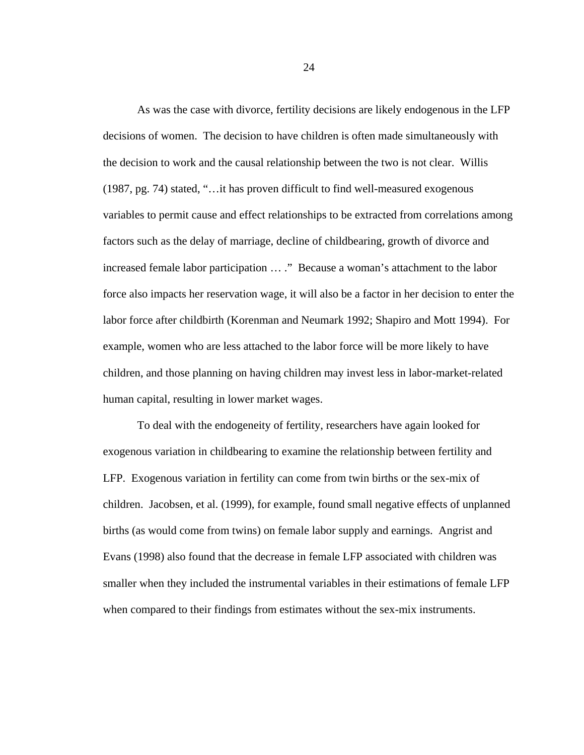As was the case with divorce, fertility decisions are likely endogenous in the LFP decisions of women. The decision to have children is often made simultaneously with the decision to work and the causal relationship between the two is not clear. Willis (1987, pg. 74) stated, "…it has proven difficult to find well-measured exogenous variables to permit cause and effect relationships to be extracted from correlations among factors such as the delay of marriage, decline of childbearing, growth of divorce and increased female labor participation … ." Because a woman's attachment to the labor force also impacts her reservation wage, it will also be a factor in her decision to enter the labor force after childbirth (Korenman and Neumark 1992; Shapiro and Mott 1994). For example, women who are less attached to the labor force will be more likely to have children, and those planning on having children may invest less in labor-market-related human capital, resulting in lower market wages.

To deal with the endogeneity of fertility, researchers have again looked for exogenous variation in childbearing to examine the relationship between fertility and LFP. Exogenous variation in fertility can come from twin births or the sex-mix of children. Jacobsen, et al. (1999), for example, found small negative effects of unplanned births (as would come from twins) on female labor supply and earnings. Angrist and Evans (1998) also found that the decrease in female LFP associated with children was smaller when they included the instrumental variables in their estimations of female LFP when compared to their findings from estimates without the sex-mix instruments.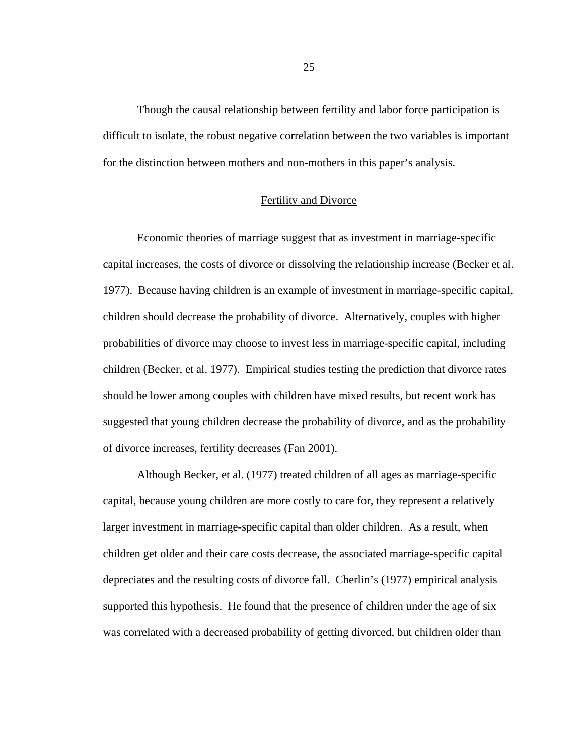Though the causal relationship between fertility and labor force participation is difficult to isolate, the robust negative correlation between the two variables is important for the distinction between mothers and non-mothers in this paper's analysis.

#### Fertility and Divorce

 Economic theories of marriage suggest that as investment in marriage-specific capital increases, the costs of divorce or dissolving the relationship increase (Becker et al. 1977). Because having children is an example of investment in marriage-specific capital, children should decrease the probability of divorce. Alternatively, couples with higher probabilities of divorce may choose to invest less in marriage-specific capital, including children (Becker, et al. 1977). Empirical studies testing the prediction that divorce rates should be lower among couples with children have mixed results, but recent work has suggested that young children decrease the probability of divorce, and as the probability of divorce increases, fertility decreases (Fan 2001).

Although Becker, et al. (1977) treated children of all ages as marriage-specific capital, because young children are more costly to care for, they represent a relatively larger investment in marriage-specific capital than older children. As a result, when children get older and their care costs decrease, the associated marriage-specific capital depreciates and the resulting costs of divorce fall. Cherlin's (1977) empirical analysis supported this hypothesis. He found that the presence of children under the age of six was correlated with a decreased probability of getting divorced, but children older than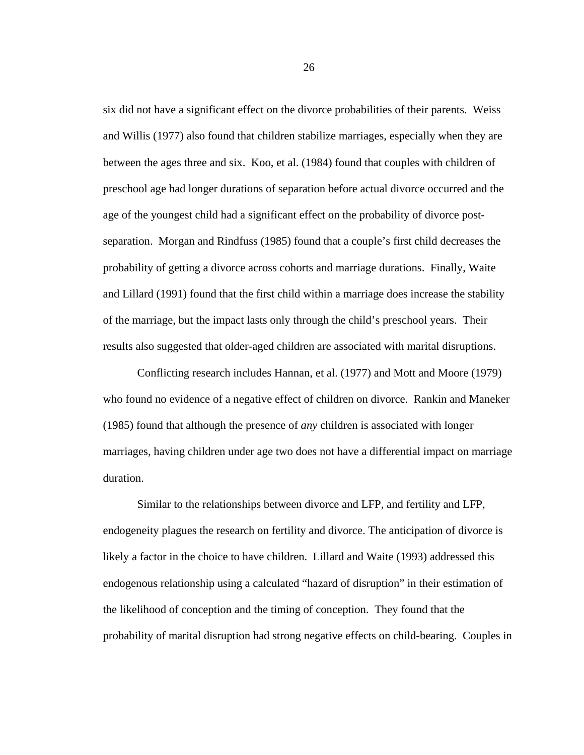six did not have a significant effect on the divorce probabilities of their parents. Weiss and Willis (1977) also found that children stabilize marriages, especially when they are between the ages three and six. Koo, et al. (1984) found that couples with children of preschool age had longer durations of separation before actual divorce occurred and the age of the youngest child had a significant effect on the probability of divorce postseparation. Morgan and Rindfuss (1985) found that a couple's first child decreases the probability of getting a divorce across cohorts and marriage durations. Finally, Waite and Lillard (1991) found that the first child within a marriage does increase the stability of the marriage, but the impact lasts only through the child's preschool years. Their results also suggested that older-aged children are associated with marital disruptions.

Conflicting research includes Hannan, et al. (1977) and Mott and Moore (1979) who found no evidence of a negative effect of children on divorce. Rankin and Maneker (1985) found that although the presence of *any* children is associated with longer marriages, having children under age two does not have a differential impact on marriage duration.

 Similar to the relationships between divorce and LFP, and fertility and LFP, endogeneity plagues the research on fertility and divorce. The anticipation of divorce is likely a factor in the choice to have children. Lillard and Waite (1993) addressed this endogenous relationship using a calculated "hazard of disruption" in their estimation of the likelihood of conception and the timing of conception. They found that the probability of marital disruption had strong negative effects on child-bearing. Couples in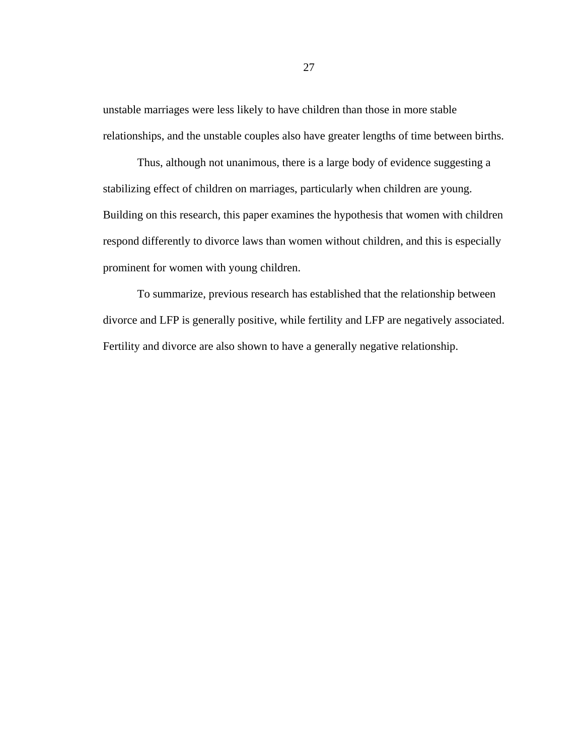unstable marriages were less likely to have children than those in more stable relationships, and the unstable couples also have greater lengths of time between births.

 Thus, although not unanimous, there is a large body of evidence suggesting a stabilizing effect of children on marriages, particularly when children are young. Building on this research, this paper examines the hypothesis that women with children respond differently to divorce laws than women without children, and this is especially prominent for women with young children.

To summarize, previous research has established that the relationship between divorce and LFP is generally positive, while fertility and LFP are negatively associated. Fertility and divorce are also shown to have a generally negative relationship.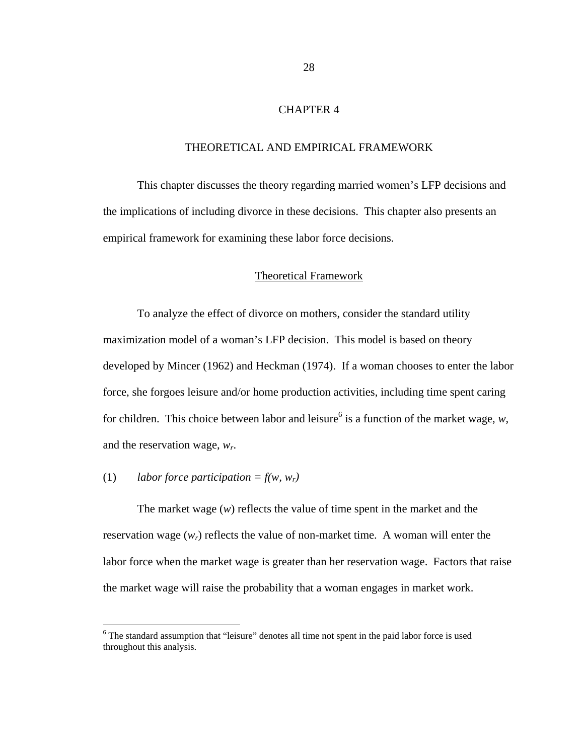# CHAPTER 4

### THEORETICAL AND EMPIRICAL FRAMEWORK

 This chapter discusses the theory regarding married women's LFP decisions and the implications of including divorce in these decisions. This chapter also presents an empirical framework for examining these labor force decisions.

## Theoretical Framework

To analyze the effect of divorce on mothers, consider the standard utility maximization model of a woman's LFP decision. This model is based on theory developed by Mincer (1962) and Heckman (1974). If a woman chooses to enter the labor force, she forgoes leisure and/or home production activities, including time spent caring for children. This choice between labor and leisure<sup>6</sup> is a function of the market wage,  $w$ , and the reservation wage, *wr*.

# (1) *labor force participation = f(w, w<sub>r</sub>)*

 $\overline{a}$ 

The market wage (*w*) reflects the value of time spent in the market and the reservation wage  $(w_r)$  reflects the value of non-market time. A woman will enter the labor force when the market wage is greater than her reservation wage. Factors that raise the market wage will raise the probability that a woman engages in market work.

<sup>&</sup>lt;sup>6</sup> The standard assumption that "leisure" denotes all time not spent in the paid labor force is used throughout this analysis.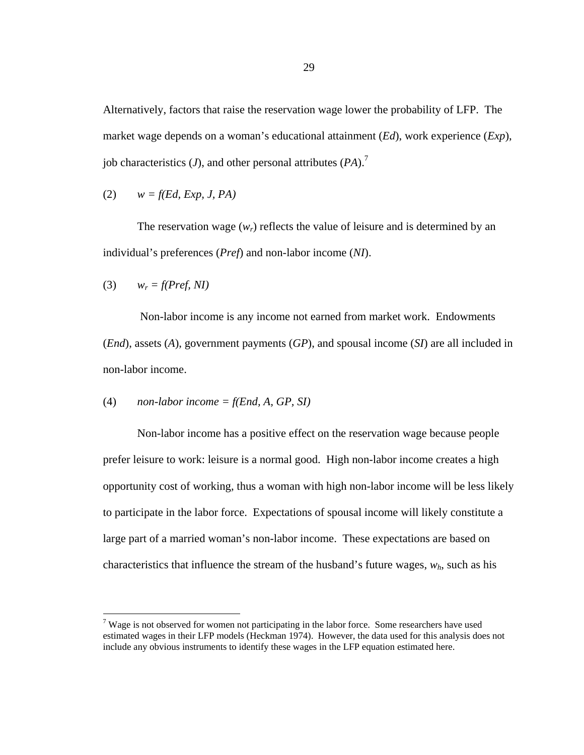Alternatively, factors that raise the reservation wage lower the probability of LFP. The market wage depends on a woman's educational attainment (*Ed*), work experience (*Exp*), job characteristics  $(J)$ , and other personal attributes  $(PA)$ .<sup>7</sup>

$$
(2) \qquad w = f(Ed, Exp, J, PA)
$$

The reservation wage  $(w_r)$  reflects the value of leisure and is determined by an individual's preferences (*Pref*) and non-labor income (*NI*).

$$
(3) \qquad w_r = f(Pref, NI)
$$

1

 Non-labor income is any income not earned from market work. Endowments (*End*), assets (*A*), government payments (*GP*), and spousal income (*SI*) are all included in non-labor income.

(4) *non-labor income* = 
$$
f(End, A, GP, SI)
$$

Non-labor income has a positive effect on the reservation wage because people prefer leisure to work: leisure is a normal good. High non-labor income creates a high opportunity cost of working, thus a woman with high non-labor income will be less likely to participate in the labor force. Expectations of spousal income will likely constitute a large part of a married woman's non-labor income. These expectations are based on characteristics that influence the stream of the husband's future wages,  $w_h$ , such as his

 $7$  Wage is not observed for women not participating in the labor force. Some researchers have used estimated wages in their LFP models (Heckman 1974). However, the data used for this analysis does not include any obvious instruments to identify these wages in the LFP equation estimated here.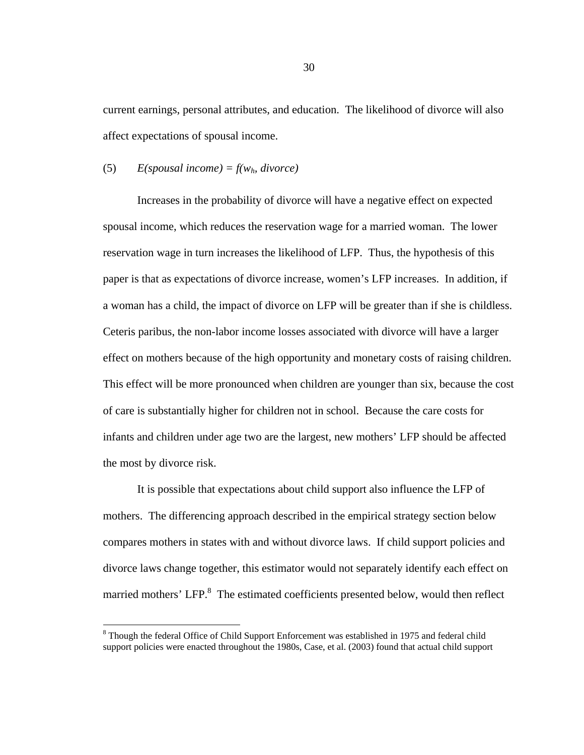current earnings, personal attributes, and education. The likelihood of divorce will also affect expectations of spousal income.

#### (5) *E(spousal income) = f(wh, divorce)*

1

Increases in the probability of divorce will have a negative effect on expected spousal income, which reduces the reservation wage for a married woman. The lower reservation wage in turn increases the likelihood of LFP. Thus, the hypothesis of this paper is that as expectations of divorce increase, women's LFP increases. In addition, if a woman has a child, the impact of divorce on LFP will be greater than if she is childless. Ceteris paribus, the non-labor income losses associated with divorce will have a larger effect on mothers because of the high opportunity and monetary costs of raising children. This effect will be more pronounced when children are younger than six, because the cost of care is substantially higher for children not in school. Because the care costs for infants and children under age two are the largest, new mothers' LFP should be affected the most by divorce risk.

It is possible that expectations about child support also influence the LFP of mothers. The differencing approach described in the empirical strategy section below compares mothers in states with and without divorce laws. If child support policies and divorce laws change together, this estimator would not separately identify each effect on married mothers' LFP.<sup>8</sup> The estimated coefficients presented below, would then reflect

<sup>&</sup>lt;sup>8</sup> Though the federal Office of Child Support Enforcement was established in 1975 and federal child support policies were enacted throughout the 1980s, Case, et al. (2003) found that actual child support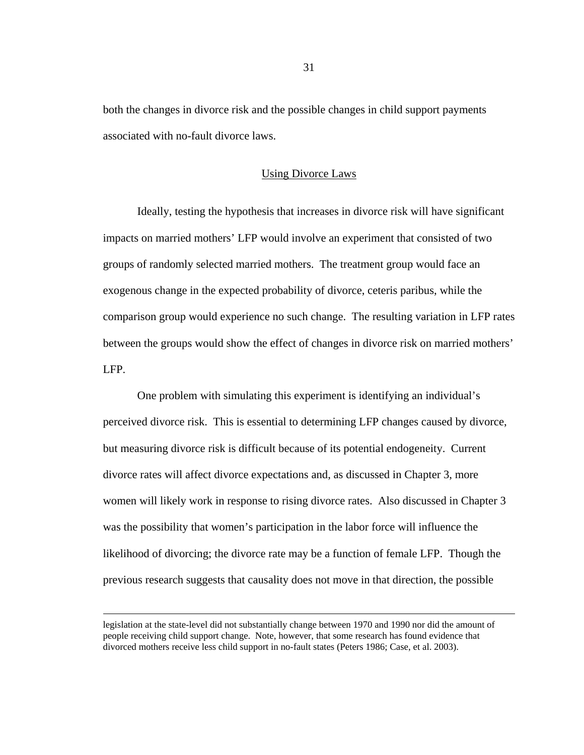both the changes in divorce risk and the possible changes in child support payments associated with no-fault divorce laws.

#### Using Divorce Laws

Ideally, testing the hypothesis that increases in divorce risk will have significant impacts on married mothers' LFP would involve an experiment that consisted of two groups of randomly selected married mothers. The treatment group would face an exogenous change in the expected probability of divorce, ceteris paribus, while the comparison group would experience no such change. The resulting variation in LFP rates between the groups would show the effect of changes in divorce risk on married mothers' LFP.

One problem with simulating this experiment is identifying an individual's perceived divorce risk. This is essential to determining LFP changes caused by divorce, but measuring divorce risk is difficult because of its potential endogeneity. Current divorce rates will affect divorce expectations and, as discussed in Chapter 3, more women will likely work in response to rising divorce rates. Also discussed in Chapter 3 was the possibility that women's participation in the labor force will influence the likelihood of divorcing; the divorce rate may be a function of female LFP. Though the previous research suggests that causality does not move in that direction, the possible

legislation at the state-level did not substantially change between 1970 and 1990 nor did the amount of people receiving child support change. Note, however, that some research has found evidence that divorced mothers receive less child support in no-fault states (Peters 1986; Case, et al. 2003).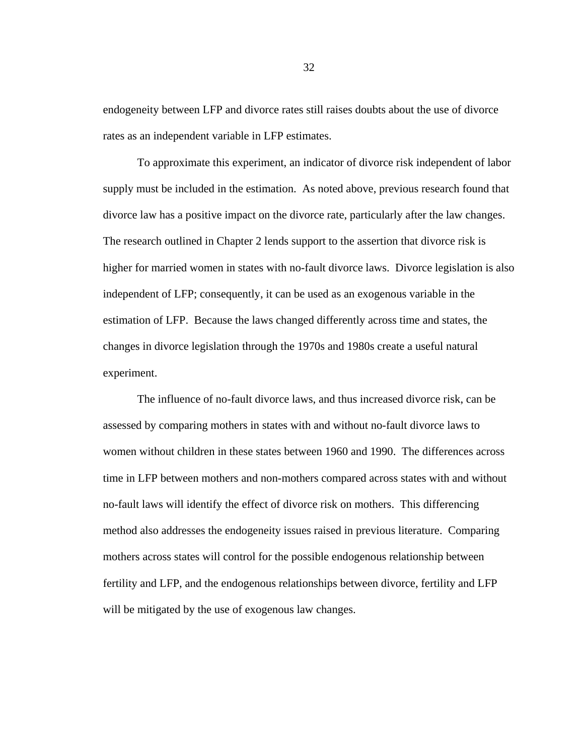endogeneity between LFP and divorce rates still raises doubts about the use of divorce rates as an independent variable in LFP estimates.

To approximate this experiment, an indicator of divorce risk independent of labor supply must be included in the estimation. As noted above, previous research found that divorce law has a positive impact on the divorce rate, particularly after the law changes. The research outlined in Chapter 2 lends support to the assertion that divorce risk is higher for married women in states with no-fault divorce laws. Divorce legislation is also independent of LFP; consequently, it can be used as an exogenous variable in the estimation of LFP. Because the laws changed differently across time and states, the changes in divorce legislation through the 1970s and 1980s create a useful natural experiment.

The influence of no-fault divorce laws, and thus increased divorce risk, can be assessed by comparing mothers in states with and without no-fault divorce laws to women without children in these states between 1960 and 1990. The differences across time in LFP between mothers and non-mothers compared across states with and without no-fault laws will identify the effect of divorce risk on mothers. This differencing method also addresses the endogeneity issues raised in previous literature. Comparing mothers across states will control for the possible endogenous relationship between fertility and LFP, and the endogenous relationships between divorce, fertility and LFP will be mitigated by the use of exogenous law changes.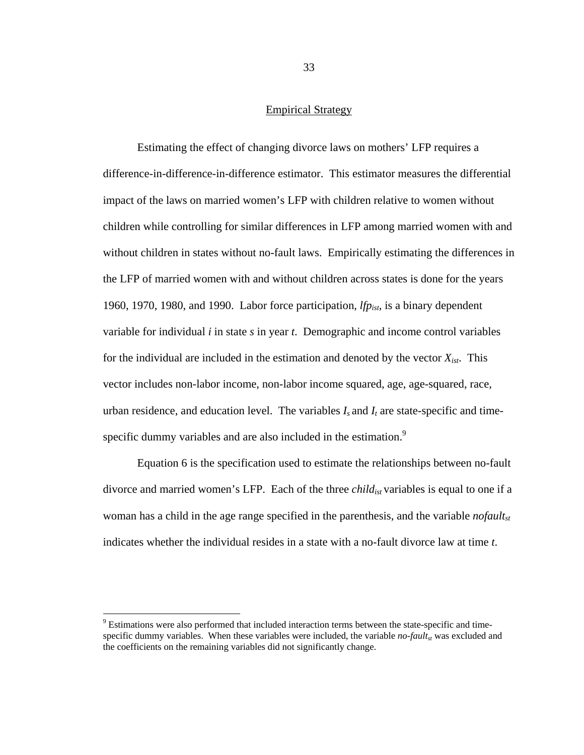# Empirical Strategy

Estimating the effect of changing divorce laws on mothers' LFP requires a difference-in-difference-in-difference estimator. This estimator measures the differential impact of the laws on married women's LFP with children relative to women without children while controlling for similar differences in LFP among married women with and without children in states without no-fault laws. Empirically estimating the differences in the LFP of married women with and without children across states is done for the years 1960, 1970, 1980, and 1990. Labor force participation, *lfpist*, is a binary dependent variable for individual *i* in state *s* in year *t*. Demographic and income control variables for the individual are included in the estimation and denoted by the vector  $X_{ist}$ . This vector includes non-labor income, non-labor income squared, age, age-squared, race, urban residence, and education level. The variables  $I_s$  and  $I_t$  are state-specific and timespecific dummy variables and are also included in the estimation.<sup>9</sup>

Equation 6 is the specification used to estimate the relationships between no-fault divorce and married women's LFP. Each of the three *child<sub>ist</sub>* variables is equal to one if a woman has a child in the age range specified in the parenthesis, and the variable *nofault<sub>st</sub>* indicates whether the individual resides in a state with a no-fault divorce law at time *t*.

 $\overline{a}$ 

<sup>&</sup>lt;sup>9</sup> Estimations were also performed that included interaction terms between the state-specific and timespecific dummy variables. When these variables were included, the variable  $no$ -fault<sub>st</sub> was excluded and the coefficients on the remaining variables did not significantly change.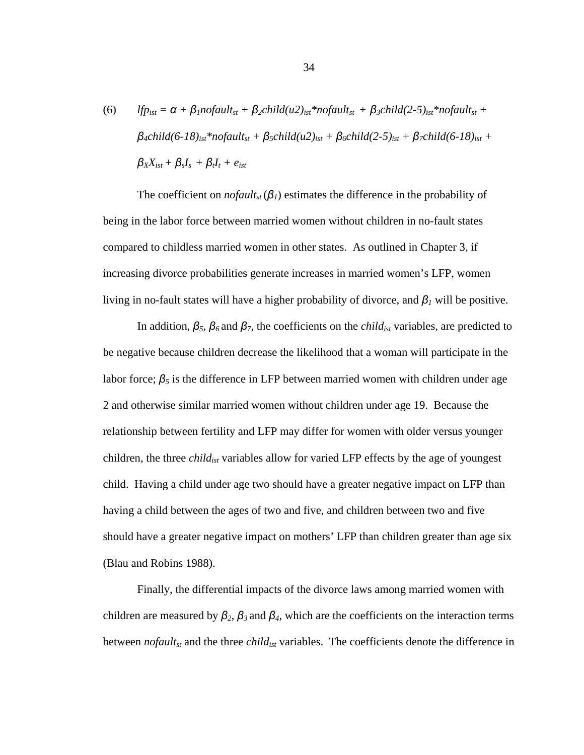(6) 
$$
lfp_{ist} = \alpha + \beta_1 nofault_{st} + \beta_2 child(u2)_{ist} * nofault_{st} + \beta_3 child(2-5)_{ist} * nofault_{st} + \beta_4 child(6-18)_{ist} * nofault_{st} + \beta_5 child(u2)_{ist} + \beta_6 child(2-5)_{ist} + \beta_7 child(6-18)_{ist} + \beta_8 X_{ist} + \beta_s I_s + \beta_t I_t + e_{ist}
$$

The coefficient on *nofault<sub>st</sub>*( $\beta$ <sub>*l*</sub>) estimates the difference in the probability of being in the labor force between married women without children in no-fault states compared to childless married women in other states. As outlined in Chapter 3, if increasing divorce probabilities generate increases in married women's LFP, women living in no-fault states will have a higher probability of divorce, and *β1* will be positive.

In addition,  $\beta_5$ ,  $\beta_6$  and  $\beta_7$ , the coefficients on the *child<sub>ist</sub>* variables, are predicted to be negative because children decrease the likelihood that a woman will participate in the labor force;  $\beta_5$  is the difference in LFP between married women with children under age 2 and otherwise similar married women without children under age 19. Because the relationship between fertility and LFP may differ for women with older versus younger children, the three *childist* variables allow for varied LFP effects by the age of youngest child. Having a child under age two should have a greater negative impact on LFP than having a child between the ages of two and five, and children between two and five should have a greater negative impact on mothers' LFP than children greater than age six (Blau and Robins 1988).

Finally, the differential impacts of the divorce laws among married women with children are measured by  $\beta_2$ ,  $\beta_3$  and  $\beta_4$ , which are the coefficients on the interaction terms between *nofault<sub>st</sub>* and the three *child<sub>ist</sub>* variables. The coefficients denote the difference in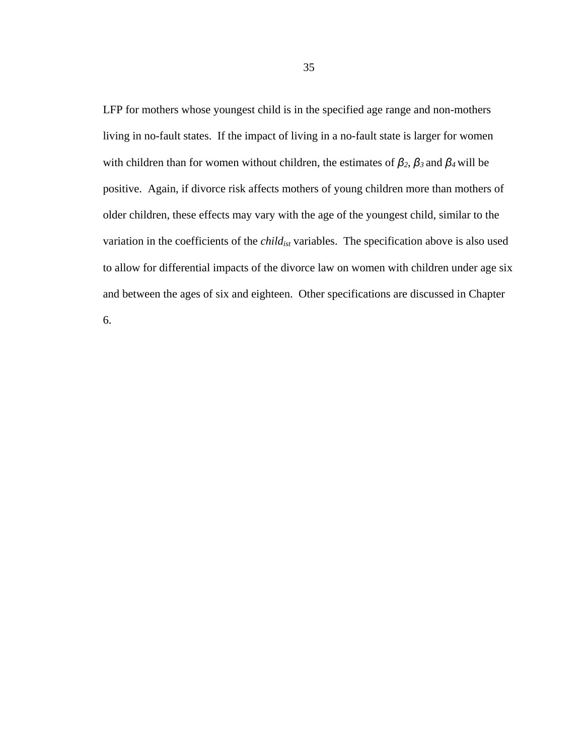LFP for mothers whose youngest child is in the specified age range and non-mothers living in no-fault states. If the impact of living in a no-fault state is larger for women with children than for women without children, the estimates of *β2*, *β3* and *β4* will be positive. Again, if divorce risk affects mothers of young children more than mothers of older children, these effects may vary with the age of the youngest child, similar to the variation in the coefficients of the *childist* variables. The specification above is also used to allow for differential impacts of the divorce law on women with children under age six and between the ages of six and eighteen. Other specifications are discussed in Chapter

6.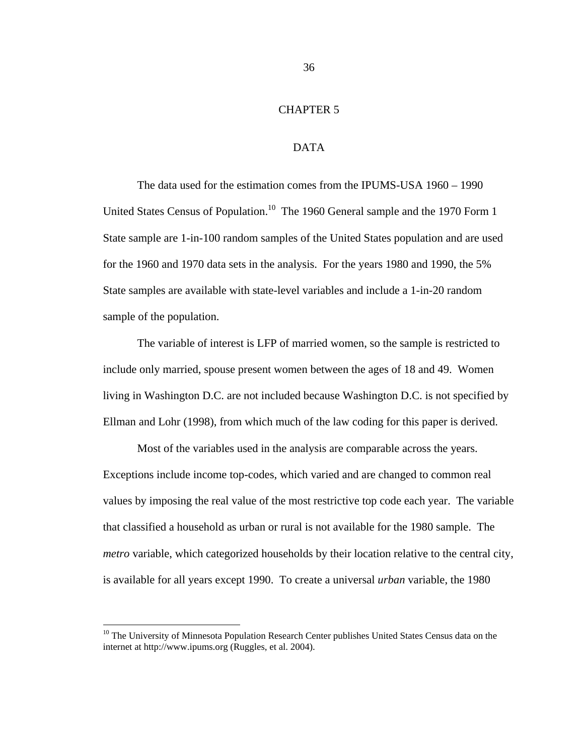# CHAPTER 5

# DATA

The data used for the estimation comes from the IPUMS-USA 1960 – 1990 United States Census of Population.<sup>10</sup> The 1960 General sample and the 1970 Form 1 State sample are 1-in-100 random samples of the United States population and are used for the 1960 and 1970 data sets in the analysis. For the years 1980 and 1990, the 5% State samples are available with state-level variables and include a 1-in-20 random sample of the population.

The variable of interest is LFP of married women, so the sample is restricted to include only married, spouse present women between the ages of 18 and 49. Women living in Washington D.C. are not included because Washington D.C. is not specified by Ellman and Lohr (1998), from which much of the law coding for this paper is derived.

Most of the variables used in the analysis are comparable across the years. Exceptions include income top-codes, which varied and are changed to common real values by imposing the real value of the most restrictive top code each year. The variable that classified a household as urban or rural is not available for the 1980 sample. The *metro* variable, which categorized households by their location relative to the central city, is available for all years except 1990. To create a universal *urban* variable, the 1980

 $10$  The University of Minnesota Population Research Center publishes United States Census data on the internet at http://www.ipums.org (Ruggles, et al. 2004).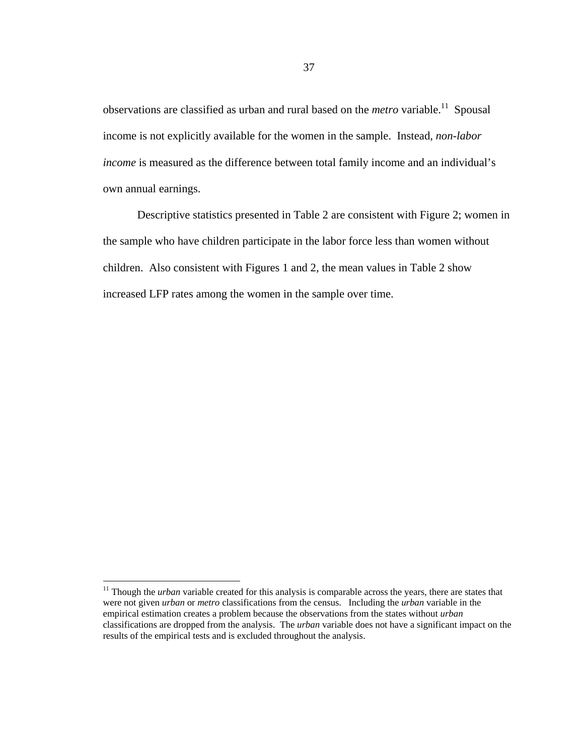observations are classified as urban and rural based on the *metro* variable.<sup>11</sup> Spousal income is not explicitly available for the women in the sample. Instead, *non-labor income* is measured as the difference between total family income and an individual's own annual earnings.

Descriptive statistics presented in Table 2 are consistent with Figure 2; women in the sample who have children participate in the labor force less than women without children. Also consistent with Figures 1 and 2, the mean values in Table 2 show increased LFP rates among the women in the sample over time.

<sup>&</sup>lt;sup>11</sup> Though the *urban* variable created for this analysis is comparable across the years, there are states that were not given *urban* or *metro* classifications from the census. Including the *urban* variable in the empirical estimation creates a problem because the observations from the states without *urban* classifications are dropped from the analysis. The *urban* variable does not have a significant impact on the results of the empirical tests and is excluded throughout the analysis.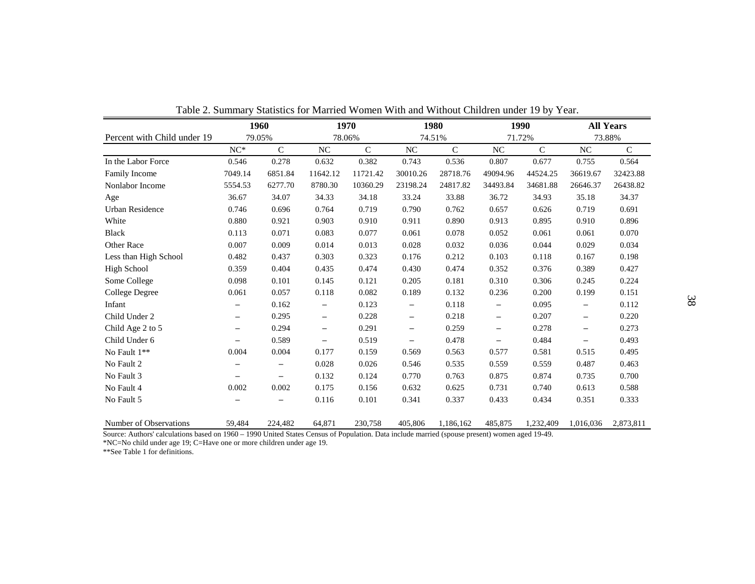|                             |                   | 1960        |                   | 1970        |                   | 1980        |                   | 1990        |                          | <b>All Years</b> |
|-----------------------------|-------------------|-------------|-------------------|-------------|-------------------|-------------|-------------------|-------------|--------------------------|------------------|
| Percent with Child under 19 | 79.05%            |             | 78.06%            |             | 74.51%            |             | 71.72%            |             | 73.88%                   |                  |
|                             | $NC*$             | $\mathbf C$ | NC                | $\mathsf C$ | $_{\mathrm{NC}}$  | $\mathbf C$ | NC                | $\mathbf C$ | NC                       | $\mathbf C$      |
| In the Labor Force          | 0.546             | 0.278       | 0.632             | 0.382       | 0.743             | 0.536       | 0.807             | 0.677       | 0.755                    | 0.564            |
| Family Income               | 7049.14           | 6851.84     | 11642.12          | 11721.42    | 30010.26          | 28718.76    | 49094.96          | 44524.25    | 36619.67                 | 32423.88         |
| Nonlabor Income             | 5554.53           | 6277.70     | 8780.30           | 10360.29    | 23198.24          | 24817.82    | 34493.84          | 34681.88    | 26646.37                 | 26438.82         |
| Age                         | 36.67             | 34.07       | 34.33             | 34.18       | 33.24             | 33.88       | 36.72             | 34.93       | 35.18                    | 34.37            |
| Urban Residence             | 0.746             | 0.696       | 0.764             | 0.719       | 0.790             | 0.762       | 0.657             | 0.626       | 0.719                    | 0.691            |
| White                       | 0.880             | 0.921       | 0.903             | 0.910       | 0.911             | 0.890       | 0.913             | 0.895       | 0.910                    | 0.896            |
| <b>Black</b>                | 0.113             | 0.071       | 0.083             | 0.077       | 0.061             | 0.078       | 0.052             | 0.061       | 0.061                    | 0.070            |
| <b>Other Race</b>           | 0.007             | 0.009       | 0.014             | 0.013       | 0.028             | 0.032       | 0.036             | 0.044       | 0.029                    | 0.034            |
| Less than High School       | 0.482             | 0.437       | 0.303             | 0.323       | 0.176             | 0.212       | 0.103             | 0.118       | 0.167                    | 0.198            |
| High School                 | 0.359             | 0.404       | 0.435             | 0.474       | 0.430             | 0.474       | 0.352             | 0.376       | 0.389                    | 0.427            |
| Some College                | 0.098             | 0.101       | 0.145             | 0.121       | 0.205             | 0.181       | 0.310             | 0.306       | 0.245                    | 0.224            |
| <b>College Degree</b>       | 0.061             | 0.057       | 0.118             | 0.082       | 0.189             | 0.132       | 0.236             | 0.200       | 0.199                    | 0.151            |
| Infant                      | -                 | 0.162       | -                 | 0.123       | $\qquad \qquad -$ | 0.118       | $\qquad \qquad -$ | 0.095       | $\overline{\phantom{0}}$ | 0.112            |
| Child Under 2               | $\qquad \qquad -$ | 0.295       | $\qquad \qquad -$ | 0.228       | $\qquad \qquad -$ | 0.218       | $\qquad \qquad -$ | 0.207       | $\overline{\phantom{m}}$ | 0.220            |
| Child Age 2 to 5            | -                 | 0.294       | $\qquad \qquad -$ | 0.291       | $\qquad \qquad -$ | 0.259       | $\qquad \qquad -$ | 0.278       | $\overline{\phantom{m}}$ | 0.273            |
| Child Under 6               | -                 | 0.589       | -                 | 0.519       | -                 | 0.478       | -                 | 0.484       |                          | 0.493            |
| No Fault 1**                | 0.004             | 0.004       | 0.177             | 0.159       | 0.569             | 0.563       | 0.577             | 0.581       | 0.515                    | 0.495            |
| No Fault 2                  |                   |             | 0.028             | 0.026       | 0.546             | 0.535       | 0.559             | 0.559       | 0.487                    | 0.463            |
| No Fault 3                  | —                 | —           | 0.132             | 0.124       | 0.770             | 0.763       | 0.875             | 0.874       | 0.735                    | 0.700            |
| No Fault 4                  | 0.002             | 0.002       | 0.175             | 0.156       | 0.632             | 0.625       | 0.731             | 0.740       | 0.613                    | 0.588            |
| No Fault 5                  |                   |             | 0.116             | 0.101       | 0.341             | 0.337       | 0.433             | 0.434       | 0.351                    | 0.333            |
| Number of Observations      | 59,484            | 224,482     | 64,871            | 230,758     | 405,806           | 1,186,162   | 485,875           | 1,232,409   | 1,016,036                | 2,873,811        |

Table 2. Summary Statistics for Married Women With and Without Children under 19 by Year.

Source: Authors' calculations based on 1960 – 1990 United States Census of Population. Data include married (spouse present) women aged 19-49.

\*NC=No child under age 19; C=Have one or more children under age 19. \*\*See Table 1 for definitions.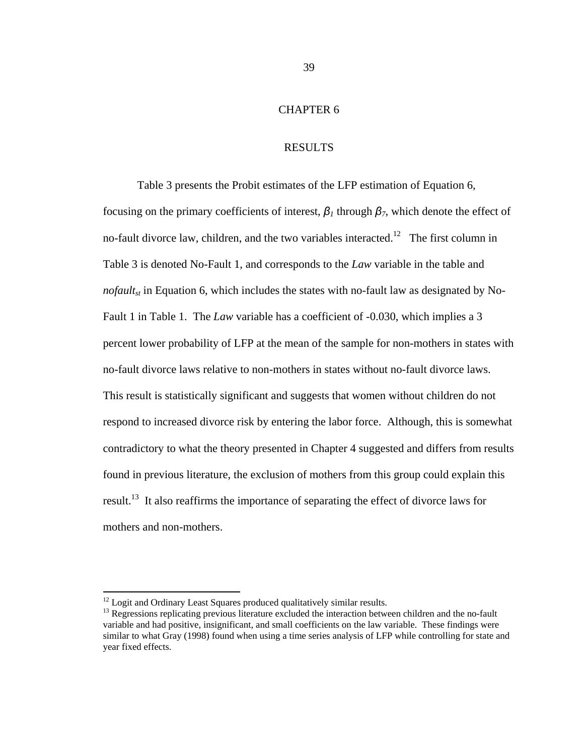# CHAPTER 6

#### RESULTS

Table 3 presents the Probit estimates of the LFP estimation of Equation 6, focusing on the primary coefficients of interest,  $\beta$ <sub>*l*</sub> through  $\beta$ <sub>*7*</sub>, which denote the effect of no-fault divorce law, children, and the two variables interacted.<sup>12</sup> The first column in Table 3 is denoted No-Fault 1, and corresponds to the *Law* variable in the table and *nofault<sub>st</sub>* in Equation 6, which includes the states with no-fault law as designated by No-Fault 1 in Table 1. The *Law* variable has a coefficient of -0.030, which implies a 3 percent lower probability of LFP at the mean of the sample for non-mothers in states with no-fault divorce laws relative to non-mothers in states without no-fault divorce laws. This result is statistically significant and suggests that women without children do not respond to increased divorce risk by entering the labor force. Although, this is somewhat contradictory to what the theory presented in Chapter 4 suggested and differs from results found in previous literature, the exclusion of mothers from this group could explain this result.<sup>13</sup> It also reaffirms the importance of separating the effect of divorce laws for mothers and non-mothers.

 $12$  Logit and Ordinary Least Squares produced qualitatively similar results.

<sup>&</sup>lt;sup>13</sup> Regressions replicating previous literature excluded the interaction between children and the no-fault variable and had positive, insignificant, and small coefficients on the law variable. These findings were similar to what Gray (1998) found when using a time series analysis of LFP while controlling for state and year fixed effects.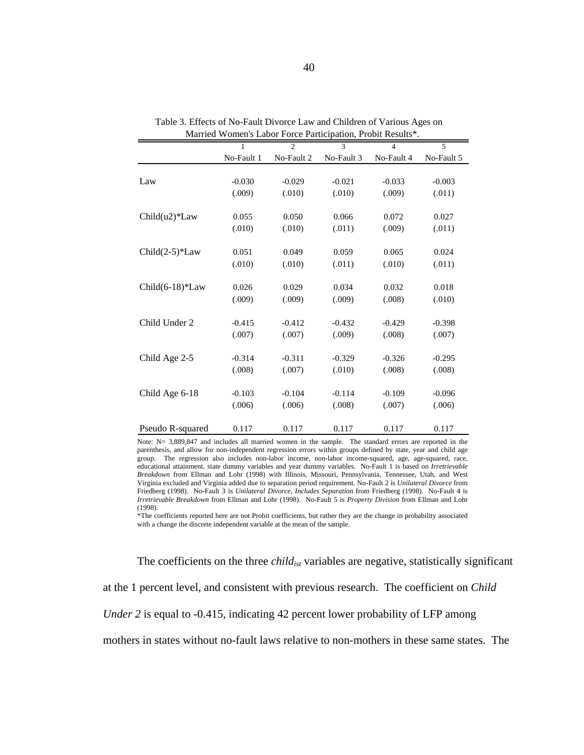|                                 |            | $\overline{2}$ | 3          | $\overline{4}$ | 5          |
|---------------------------------|------------|----------------|------------|----------------|------------|
|                                 | No-Fault 1 | No-Fault 2     | No-Fault 3 | No-Fault 4     | No-Fault 5 |
|                                 |            |                |            |                |            |
| Law                             | $-0.030$   | $-0.029$       | $-0.021$   | $-0.033$       | $-0.003$   |
|                                 | (.009)     | (.010)         | (.010)     | (.009)         | (.011)     |
|                                 |            |                |            |                |            |
| Child(u2)*Law                   | 0.055      | 0.050          | 0.066      | 0.072          | 0.027      |
|                                 | (.010)     | (.010)         | (.011)     | (.009)         | (.011)     |
|                                 |            |                |            |                |            |
| $Child(2-5)*Law$                | 0.051      | 0.049          | 0.059      | 0.065          | 0.024      |
|                                 | (.010)     | (.010)         | (.011)     | (.010)         | (.011)     |
|                                 |            |                |            |                |            |
| Child $(6-18)$ <sup>*</sup> Law | 0.026      | 0.029          | 0.034      | 0.032          | 0.018      |
|                                 | (.009)     | (.009)         | (.009)     | (.008)         | (.010)     |
|                                 |            |                |            |                |            |
| Child Under 2                   | $-0.415$   | $-0.412$       | $-0.432$   | $-0.429$       | $-0.398$   |
|                                 | (.007)     | (.007)         | (.009)     | (.008)         | (.007)     |
|                                 |            |                |            |                |            |
| Child Age 2-5                   | $-0.314$   | $-0.311$       | $-0.329$   | $-0.326$       | $-0.295$   |
|                                 | (.008)     | (.007)         | (.010)     | (.008)         | (.008)     |
|                                 |            |                |            |                |            |
| Child Age 6-18                  | $-0.103$   | $-0.104$       | $-0.114$   | $-0.109$       | $-0.096$   |
|                                 | (.006)     | (.006)         | (.008)     | (.007)         | (.006)     |
|                                 |            |                |            |                |            |
| Pseudo R-squared                | 0.117      | 0.117          | 0.117      | 0.117          | 0.117      |

Table 3. Effects of No-Fault Divorce Law and Children of Various Ages on Married Women's Labor Force Participation, Probit Results\*.

Note: N= 3,889,847 and includes all married women in the sample. The standard errors are reported in the parenthesis, and allow for non-independent regression errors within groups defined by state, year and child age group. The regression also includes non-labor income, non-labor income-squared, age, age-squared, race, educational attainment, state dummy variables and year dummy variables. No-Fault 1 is based on *Irretrievable Breakdown* from Ellman and Lohr (1998) with Illinois, Missouri, Pennsylvania, Tennessee, Utah, and West Virginia excluded and Virginia added due to separation period requirement. No-Fault 2 is *Unilateral Divorce* from Friedberg (1998). No-Fault 3 is *Unilateral Divorce, Includes Separation* from Friedberg (1998). No-Fault 4 is *Irretrievable Breakdown* from Ellman and Lohr (1998). No-Fault 5 is *Property Division* from Ellman and Lohr (1998).

\*The coefficients reported here are not Probit coefficients, but rather they are the change in probability associated with a change the discrete independent variable at the mean of the sample.

The coefficients on the three *child<sub>ist</sub>* variables are negative, statistically significant at the 1 percent level, and consistent with previous research. The coefficient on *Child Under 2* is equal to -0.415, indicating 42 percent lower probability of LFP among mothers in states without no-fault laws relative to non-mothers in these same states. The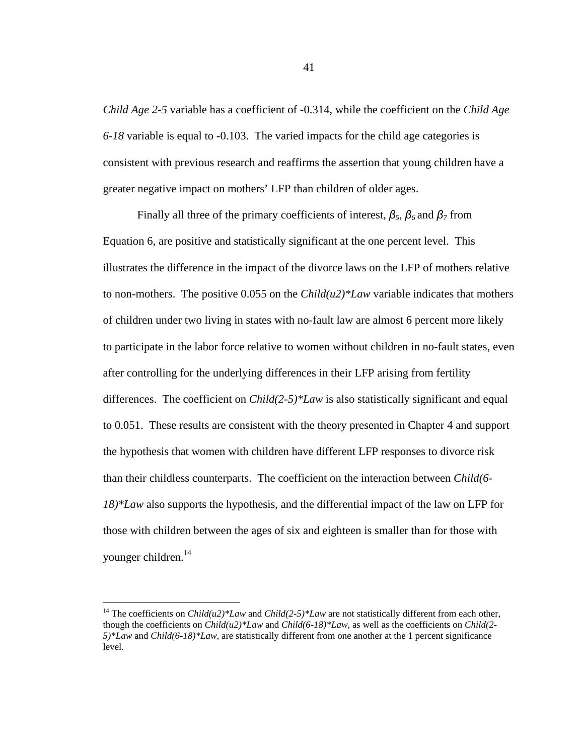*Child Age 2-5* variable has a coefficient of -0.314, while the coefficient on the *Child Age 6-18* variable is equal to -0.103. The varied impacts for the child age categories is consistent with previous research and reaffirms the assertion that young children have a greater negative impact on mothers' LFP than children of older ages.

Finally all three of the primary coefficients of interest, *β5*, *β6* and *β7* from Equation 6, are positive and statistically significant at the one percent level. This illustrates the difference in the impact of the divorce laws on the LFP of mothers relative to non-mothers. The positive 0.055 on the *Child(u2)\*Law* variable indicates that mothers of children under two living in states with no-fault law are almost 6 percent more likely to participate in the labor force relative to women without children in no-fault states, even after controlling for the underlying differences in their LFP arising from fertility differences. The coefficient on *Child(2-5)\*Law* is also statistically significant and equal to 0.051. These results are consistent with the theory presented in Chapter 4 and support the hypothesis that women with children have different LFP responses to divorce risk than their childless counterparts. The coefficient on the interaction between *Child(6- 18)\*Law* also supports the hypothesis, and the differential impact of the law on LFP for those with children between the ages of six and eighteen is smaller than for those with younger children.<sup>14</sup>

 $\overline{a}$ 

<sup>&</sup>lt;sup>14</sup> The coefficients on *Child(u2)\*Law* and *Child(2-5)\*Law* are not statistically different from each other, though the coefficients on *Child(u2)\*Law* and *Child(6-18)\*Law*, as well as the coefficients on *Child(2- 5)\*Law* and *Child(6-18)\*Law*, are statistically different from one another at the 1 percent significance level.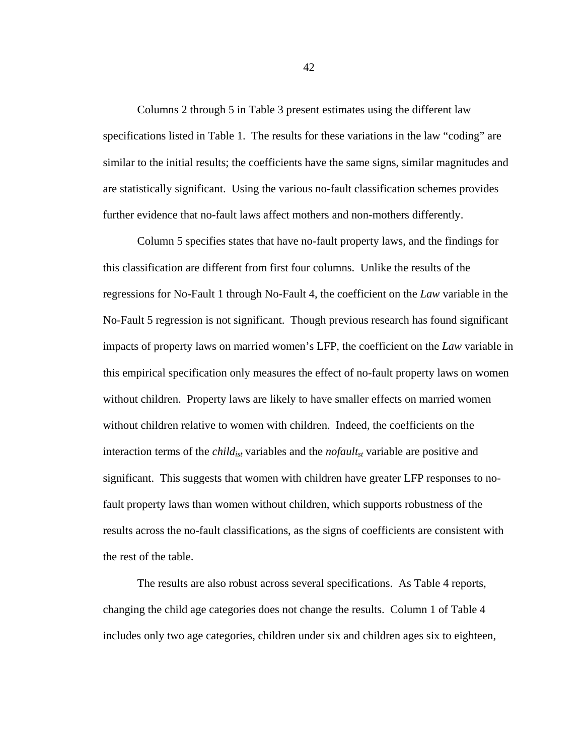Columns 2 through 5 in Table 3 present estimates using the different law specifications listed in Table 1. The results for these variations in the law "coding" are similar to the initial results; the coefficients have the same signs, similar magnitudes and are statistically significant. Using the various no-fault classification schemes provides further evidence that no-fault laws affect mothers and non-mothers differently.

Column 5 specifies states that have no-fault property laws, and the findings for this classification are different from first four columns. Unlike the results of the regressions for No-Fault 1 through No-Fault 4, the coefficient on the *Law* variable in the No-Fault 5 regression is not significant. Though previous research has found significant impacts of property laws on married women's LFP, the coefficient on the *Law* variable in this empirical specification only measures the effect of no-fault property laws on women without children. Property laws are likely to have smaller effects on married women without children relative to women with children. Indeed, the coefficients on the interaction terms of the *child<sub>ist</sub>* variables and the *nofault<sub>st</sub>* variable are positive and significant. This suggests that women with children have greater LFP responses to nofault property laws than women without children, which supports robustness of the results across the no-fault classifications, as the signs of coefficients are consistent with the rest of the table.

 The results are also robust across several specifications. As Table 4 reports, changing the child age categories does not change the results. Column 1 of Table 4 includes only two age categories, children under six and children ages six to eighteen,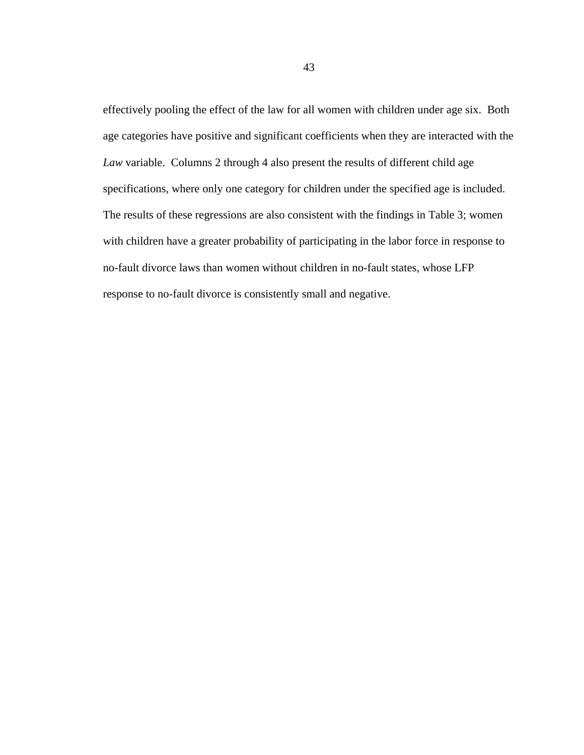effectively pooling the effect of the law for all women with children under age six. Both age categories have positive and significant coefficients when they are interacted with the *Law* variable. Columns 2 through 4 also present the results of different child age specifications, where only one category for children under the specified age is included. The results of these regressions are also consistent with the findings in Table 3; women with children have a greater probability of participating in the labor force in response to no-fault divorce laws than women without children in no-fault states, whose LFP response to no-fault divorce is consistently small and negative.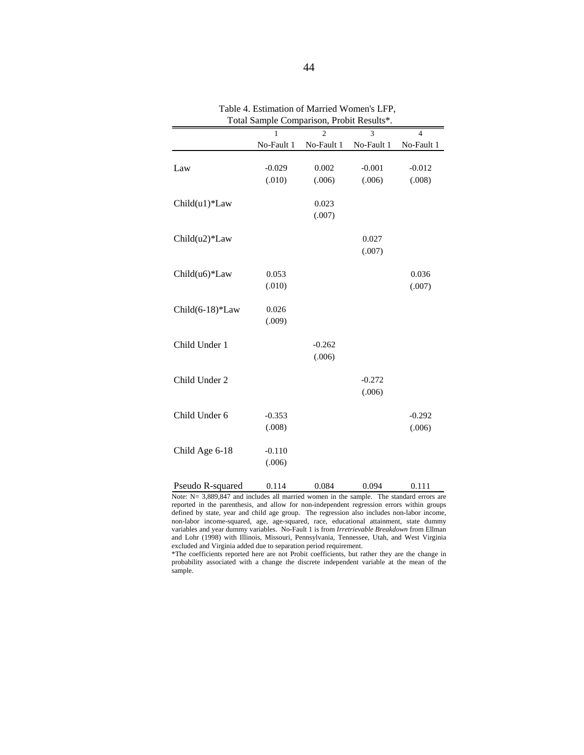|                  | Total Bampic Comparison, I Toon Results<br>$\overline{\mathbf{3}}$<br>$\overline{c}$<br>1 |            |            |                 |  |  |
|------------------|-------------------------------------------------------------------------------------------|------------|------------|-----------------|--|--|
|                  | No-Fault 1                                                                                | No-Fault 1 | No-Fault 1 | 4<br>No-Fault 1 |  |  |
|                  |                                                                                           |            |            |                 |  |  |
| Law              | $-0.029$                                                                                  | 0.002      | $-0.001$   | $-0.012$        |  |  |
|                  | (.010)                                                                                    | (.006)     | (.006)     | (.008)          |  |  |
|                  |                                                                                           |            |            |                 |  |  |
| Child(u1)*Law    |                                                                                           | 0.023      |            |                 |  |  |
|                  |                                                                                           | (.007)     |            |                 |  |  |
| Child(u2)*Law    |                                                                                           |            | 0.027      |                 |  |  |
|                  |                                                                                           |            | (.007)     |                 |  |  |
|                  |                                                                                           |            |            |                 |  |  |
| Child(u6)*Law    | 0.053                                                                                     |            |            | 0.036           |  |  |
|                  | (.010)                                                                                    |            |            | (.007)          |  |  |
|                  |                                                                                           |            |            |                 |  |  |
| Child(6-18)*Law  | 0.026                                                                                     |            |            |                 |  |  |
|                  | (.009)                                                                                    |            |            |                 |  |  |
|                  |                                                                                           |            |            |                 |  |  |
| Child Under 1    |                                                                                           | $-0.262$   |            |                 |  |  |
|                  |                                                                                           | (.006)     |            |                 |  |  |
|                  |                                                                                           |            |            |                 |  |  |
| Child Under 2    |                                                                                           |            | $-0.272$   |                 |  |  |
|                  |                                                                                           |            | (.006)     |                 |  |  |
| Child Under 6    | $-0.353$                                                                                  |            |            | $-0.292$        |  |  |
|                  | (.008)                                                                                    |            |            | (.006)          |  |  |
|                  |                                                                                           |            |            |                 |  |  |
| Child Age 6-18   | $-0.110$                                                                                  |            |            |                 |  |  |
|                  | (.006)                                                                                    |            |            |                 |  |  |
|                  |                                                                                           |            |            |                 |  |  |
| Pseudo R-squared | 0.114                                                                                     | 0.084      | 0.094      | 0.111           |  |  |

Table 4. Estimation of Married Women's LFP, Total Sample Comparison, Probit Results\*.

Note: N= 3,889,847 and includes all married women in the sample. The standard errors are reported in the parenthesis, and allow for non-independent regression errors within groups defined by state, year and child age group. The regression also includes non-labor income, non-labor income-squared, age, age-squared, race, educational attainment, state dummy variables and year dummy variables. No-Fault 1 is from *Irretrievable Breakdown* from Ellman and Lohr (1998) with Illinois, Missouri, Pennsylvania, Tennessee, Utah, and West Virginia excluded and Virginia added due to separation period requirement.

\*The coefficients reported here are not Probit coefficients, but rather they are the change in probability associated with a change the discrete independent variable at the mean of the sample.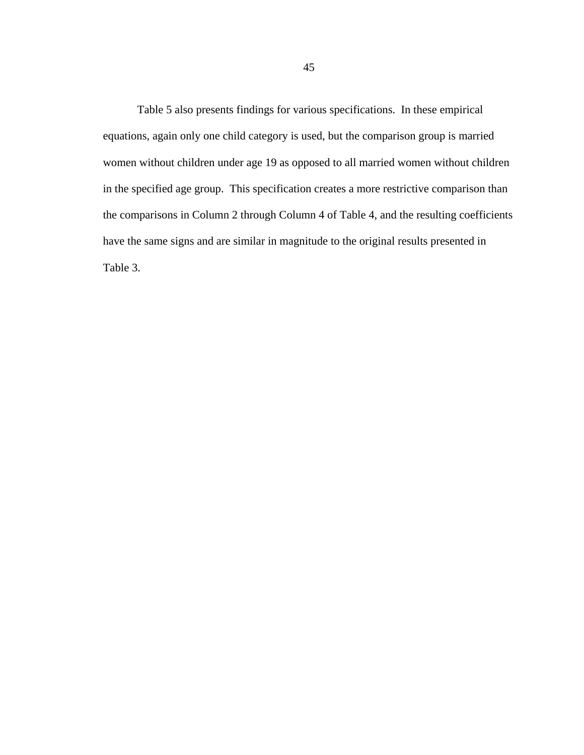Table 5 also presents findings for various specifications. In these empirical equations, again only one child category is used, but the comparison group is married women without children under age 19 as opposed to all married women without children in the specified age group. This specification creates a more restrictive comparison than the comparisons in Column 2 through Column 4 of Table 4, and the resulting coefficients have the same signs and are similar in magnitude to the original results presented in Table 3.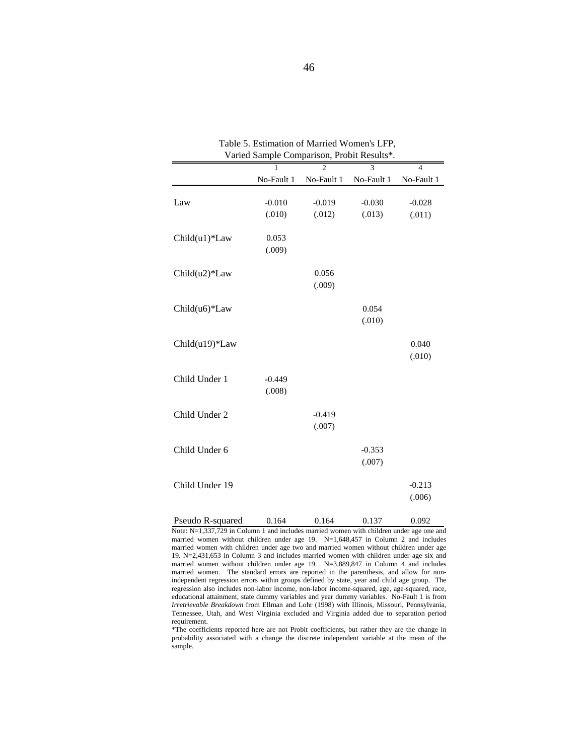| Varied Sample Comparison, Probit Results*. |            |            |            |                |  |  |  |
|--------------------------------------------|------------|------------|------------|----------------|--|--|--|
|                                            |            |            | 3          | $\overline{4}$ |  |  |  |
|                                            | No-Fault 1 | No-Fault 1 | No-Fault 1 | No-Fault 1     |  |  |  |
|                                            |            |            |            |                |  |  |  |
| Law                                        | $-0.010$   | $-0.019$   | $-0.030$   | $-0.028$       |  |  |  |
|                                            | (.010)     | (.012)     | (.013)     | (.011)         |  |  |  |
|                                            |            |            |            |                |  |  |  |
| Child(u1)*Law                              | 0.053      |            |            |                |  |  |  |
|                                            | (.009)     |            |            |                |  |  |  |
|                                            |            |            |            |                |  |  |  |
| Child(u2)*Law                              |            | 0.056      |            |                |  |  |  |
|                                            |            | (.009)     |            |                |  |  |  |
|                                            |            |            |            |                |  |  |  |
| Child(u6)*Law                              |            |            | 0.054      |                |  |  |  |
|                                            |            |            | (.010)     |                |  |  |  |
|                                            |            |            |            |                |  |  |  |
| Child(u19)*Law                             |            |            |            | 0.040          |  |  |  |
|                                            |            |            |            | (.010)         |  |  |  |
|                                            |            |            |            |                |  |  |  |
| Child Under 1                              | $-0.449$   |            |            |                |  |  |  |
|                                            | (.008)     |            |            |                |  |  |  |
|                                            |            |            |            |                |  |  |  |
| Child Under 2                              |            | $-0.419$   |            |                |  |  |  |
|                                            |            | (.007)     |            |                |  |  |  |
|                                            |            |            |            |                |  |  |  |
| Child Under 6                              |            |            | $-0.353$   |                |  |  |  |
|                                            |            |            | (.007)     |                |  |  |  |
|                                            |            |            |            |                |  |  |  |
| Child Under 19                             |            |            |            | $-0.213$       |  |  |  |
|                                            |            |            |            | (.006)         |  |  |  |
|                                            |            |            |            |                |  |  |  |
| Pseudo R-squared                           | 0.164      | 0.164      | 0.137      | 0.092          |  |  |  |

Table 5. Estimation of Married Women's LFP,

\*The coefficients reported here are not Probit coefficients, but rather they are the change in probability associated with a change the discrete independent variable at the mean of the sample.

Note: N=1,337,729 in Column 1 and includes married women with children under age one and married women without children under age 19. N=1,648,457 in Column 2 and includes married women with children under age two and married women without children under age 19. N=2,431,653 in Column 3 and includes married women with children under age six and married women without children under age 19. N=3,889,847 in Column 4 and includes married women. The standard errors are reported in the parenthesis, and allow for nonindependent regression errors within groups defined by state, year and child age group. The regression also includes non-labor income, non-labor income-squared, age, age-squared, race, educational attainment, state dummy variables and year dummy variables. No-Fault 1 is from *Irretrievable Breakdown* from Ellman and Lohr (1998) with Illinois, Missouri, Pennsylvania, Tennessee, Utah, and West Virginia excluded and Virginia added due to separation period requirement.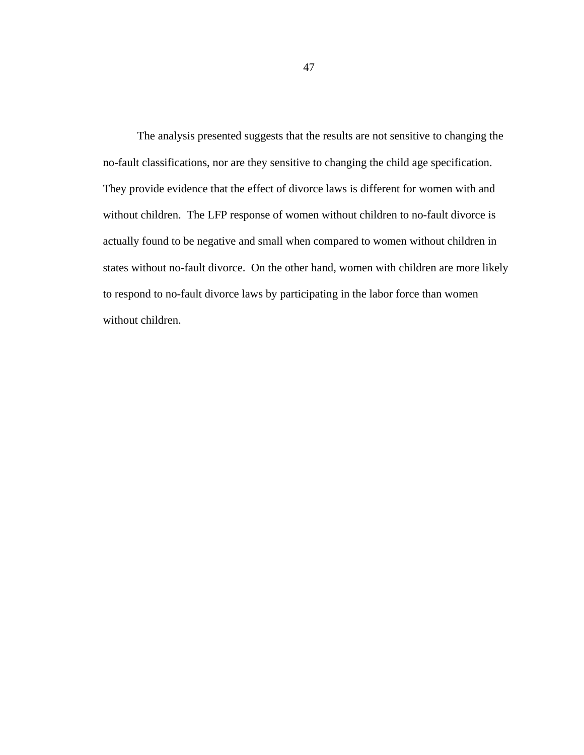The analysis presented suggests that the results are not sensitive to changing the no-fault classifications, nor are they sensitive to changing the child age specification. They provide evidence that the effect of divorce laws is different for women with and without children. The LFP response of women without children to no-fault divorce is actually found to be negative and small when compared to women without children in states without no-fault divorce. On the other hand, women with children are more likely to respond to no-fault divorce laws by participating in the labor force than women without children.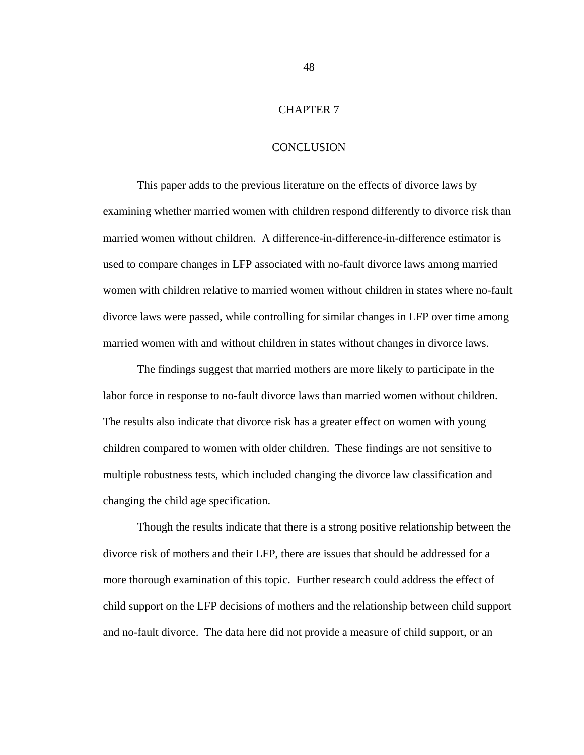# CHAPTER 7

### **CONCLUSION**

This paper adds to the previous literature on the effects of divorce laws by examining whether married women with children respond differently to divorce risk than married women without children. A difference-in-difference-in-difference estimator is used to compare changes in LFP associated with no-fault divorce laws among married women with children relative to married women without children in states where no-fault divorce laws were passed, while controlling for similar changes in LFP over time among married women with and without children in states without changes in divorce laws.

The findings suggest that married mothers are more likely to participate in the labor force in response to no-fault divorce laws than married women without children. The results also indicate that divorce risk has a greater effect on women with young children compared to women with older children. These findings are not sensitive to multiple robustness tests, which included changing the divorce law classification and changing the child age specification.

Though the results indicate that there is a strong positive relationship between the divorce risk of mothers and their LFP, there are issues that should be addressed for a more thorough examination of this topic. Further research could address the effect of child support on the LFP decisions of mothers and the relationship between child support and no-fault divorce. The data here did not provide a measure of child support, or an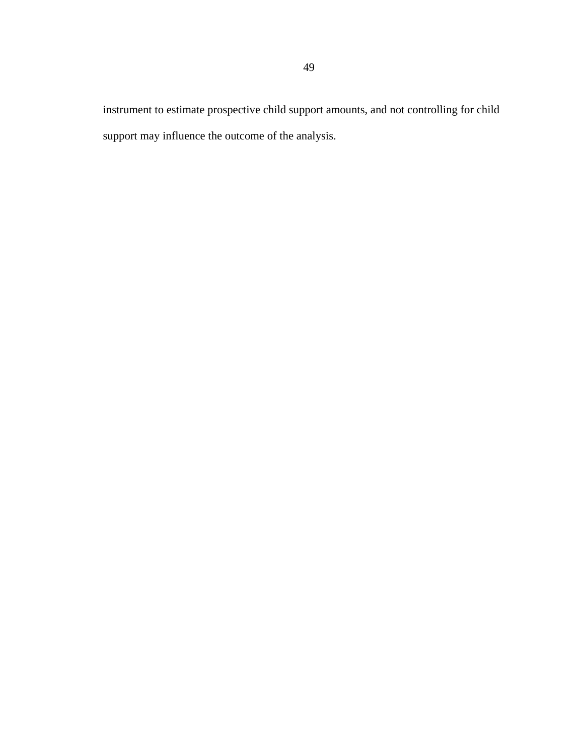instrument to estimate prospective child support amounts, and not controlling for child support may influence the outcome of the analysis.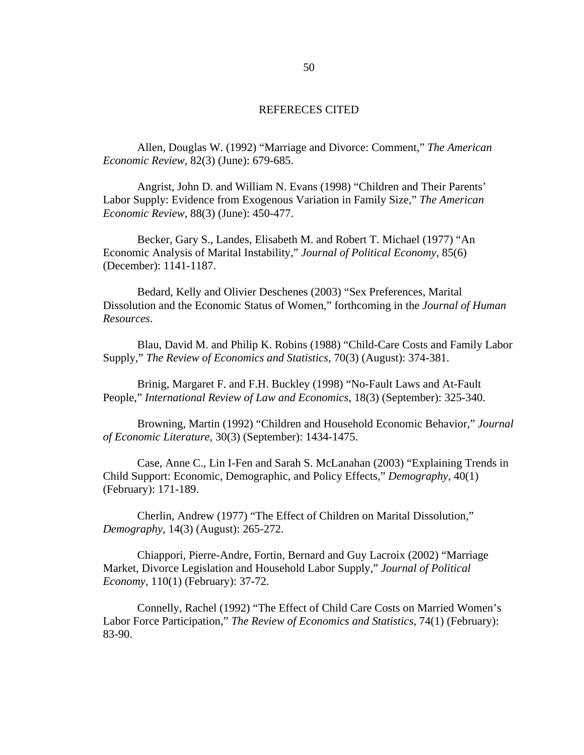#### REFERECES CITED

 Allen, Douglas W. (1992) "Marriage and Divorce: Comment," *The American Economic Review*, 82(3) (June): 679-685.

Angrist, John D. and William N. Evans (1998) "Children and Their Parents' Labor Supply: Evidence from Exogenous Variation in Family Size," *The American Economic Review*, 88(3) (June): 450-477.

Becker, Gary S., Landes, Elisabeth M. and Robert T. Michael (1977) "An Economic Analysis of Marital Instability," *Journal of Political Economy*, 85(6) (December): 1141-1187.

Bedard, Kelly and Olivier Deschenes (2003) "Sex Preferences, Marital Dissolution and the Economic Status of Women," forthcoming in the *Journal of Human Resources*.

Blau, David M. and Philip K. Robins (1988) "Child-Care Costs and Family Labor Supply," *The Review of Economics and Statistics*, 70(3) (August): 374-381.

Brinig, Margaret F. and F.H. Buckley (1998) "No-Fault Laws and At-Fault People," *International Review of Law and Economics*, 18(3) (September): 325-340.

Browning, Martin (1992) "Children and Household Economic Behavior," *Journal of Economic Literature*, 30(3) (September): 1434-1475.

Case, Anne C., Lin I-Fen and Sarah S. McLanahan (2003) "Explaining Trends in Child Support: Economic, Demographic, and Policy Effects," *Demography*, 40(1) (February): 171-189.

Cherlin, Andrew (1977) "The Effect of Children on Marital Dissolution," *Demography*, 14(3) (August): 265-272.

Chiappori, Pierre-Andre, Fortin, Bernard and Guy Lacroix (2002) "Marriage Market, Divorce Legislation and Household Labor Supply," *Journal of Political Economy*, 110(1) (February): 37-72.

Connelly, Rachel (1992) "The Effect of Child Care Costs on Married Women's Labor Force Participation," *The Review of Economics and Statistics*, 74(1) (February): 83-90.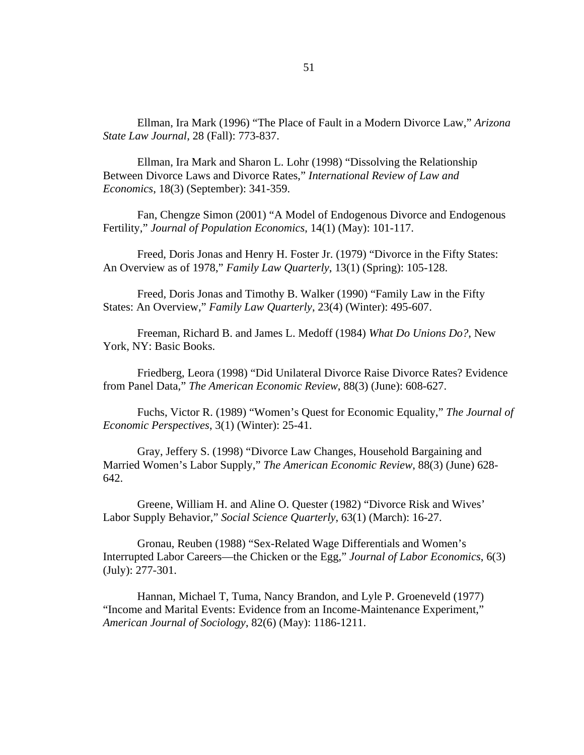Ellman, Ira Mark (1996) "The Place of Fault in a Modern Divorce Law," *Arizona State Law Journal*, 28 (Fall): 773-837.

Ellman, Ira Mark and Sharon L. Lohr (1998) "Dissolving the Relationship Between Divorce Laws and Divorce Rates," *International Review of Law and Economics*, 18(3) (September): 341-359.

Fan, Chengze Simon (2001) "A Model of Endogenous Divorce and Endogenous Fertility," *Journal of Population Economics*, 14(1) (May): 101-117.

 Freed, Doris Jonas and Henry H. Foster Jr. (1979) "Divorce in the Fifty States: An Overview as of 1978," *Family Law Quarterly*, 13(1) (Spring): 105-128.

Freed, Doris Jonas and Timothy B. Walker (1990) "Family Law in the Fifty States: An Overview," *Family Law Quarterly*, 23(4) (Winter): 495-607.

 Freeman, Richard B. and James L. Medoff (1984) *What Do Unions Do?*, New York, NY: Basic Books.

Friedberg, Leora (1998) "Did Unilateral Divorce Raise Divorce Rates? Evidence from Panel Data," *The American Economic Review*, 88(3) (June): 608-627.

Fuchs, Victor R. (1989) "Women's Quest for Economic Equality," *The Journal of Economic Perspectives*, 3(1) (Winter): 25-41.

Gray, Jeffery S. (1998) "Divorce Law Changes, Household Bargaining and Married Women's Labor Supply," *The American Economic Review*, 88(3) (June) 628- 642.

Greene, William H. and Aline O. Quester (1982) "Divorce Risk and Wives' Labor Supply Behavior," *Social Science Quarterly*, 63(1) (March): 16-27.

Gronau, Reuben (1988) "Sex-Related Wage Differentials and Women's Interrupted Labor Careers—the Chicken or the Egg," *Journal of Labor Economics*, 6(3) (July): 277-301.

 Hannan, Michael T, Tuma, Nancy Brandon, and Lyle P. Groeneveld (1977) "Income and Marital Events: Evidence from an Income-Maintenance Experiment," *American Journal of Sociology*, 82(6) (May): 1186-1211.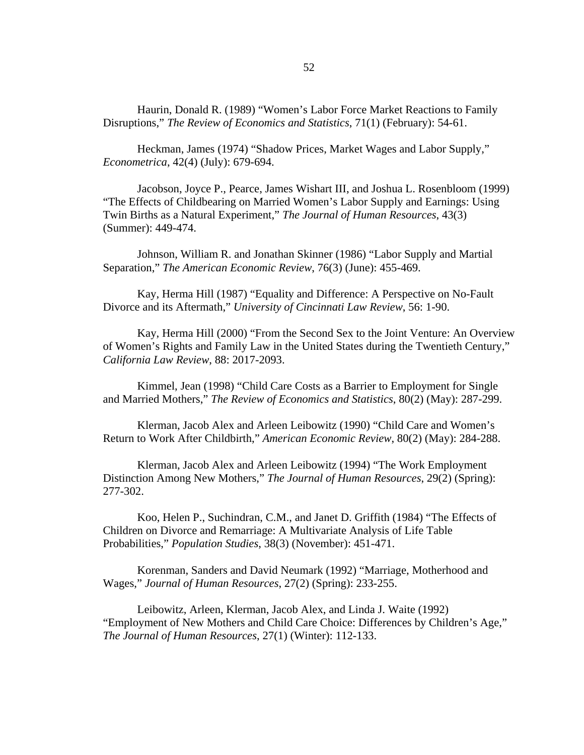Haurin, Donald R. (1989) "Women's Labor Force Market Reactions to Family Disruptions," *The Review of Economics and Statistics*, 71(1) (February): 54-61.

Heckman, James (1974) "Shadow Prices, Market Wages and Labor Supply," *Econometrica*, 42(4) (July): 679-694.

Jacobson, Joyce P., Pearce, James Wishart III, and Joshua L. Rosenbloom (1999) "The Effects of Childbearing on Married Women's Labor Supply and Earnings: Using Twin Births as a Natural Experiment," *The Journal of Human Resources*, 43(3) (Summer): 449-474.

Johnson, William R. and Jonathan Skinner (1986) "Labor Supply and Martial Separation," *The American Economic Review*, 76(3) (June): 455-469.

 Kay, Herma Hill (1987) "Equality and Difference: A Perspective on No-Fault Divorce and its Aftermath," *University of Cincinnati Law Review*, 56: 1-90.

 Kay, Herma Hill (2000) "From the Second Sex to the Joint Venture: An Overview of Women's Rights and Family Law in the United States during the Twentieth Century," *California Law Review*, 88: 2017-2093.

Kimmel, Jean (1998) "Child Care Costs as a Barrier to Employment for Single and Married Mothers," *The Review of Economics and Statistics*, 80(2) (May): 287-299.

Klerman, Jacob Alex and Arleen Leibowitz (1990) "Child Care and Women's Return to Work After Childbirth," *American Economic Review*, 80(2) (May): 284-288.

Klerman, Jacob Alex and Arleen Leibowitz (1994) "The Work Employment Distinction Among New Mothers," *The Journal of Human Resources*, 29(2) (Spring): 277-302.

Koo, Helen P., Suchindran, C.M., and Janet D. Griffith (1984) "The Effects of Children on Divorce and Remarriage: A Multivariate Analysis of Life Table Probabilities," *Population Studies*, 38(3) (November): 451-471.

Korenman, Sanders and David Neumark (1992) "Marriage, Motherhood and Wages," *Journal of Human Resources*, 27(2) (Spring): 233-255.

Leibowitz, Arleen, Klerman, Jacob Alex, and Linda J. Waite (1992) "Employment of New Mothers and Child Care Choice: Differences by Children's Age," *The Journal of Human Resources*, 27(1) (Winter): 112-133.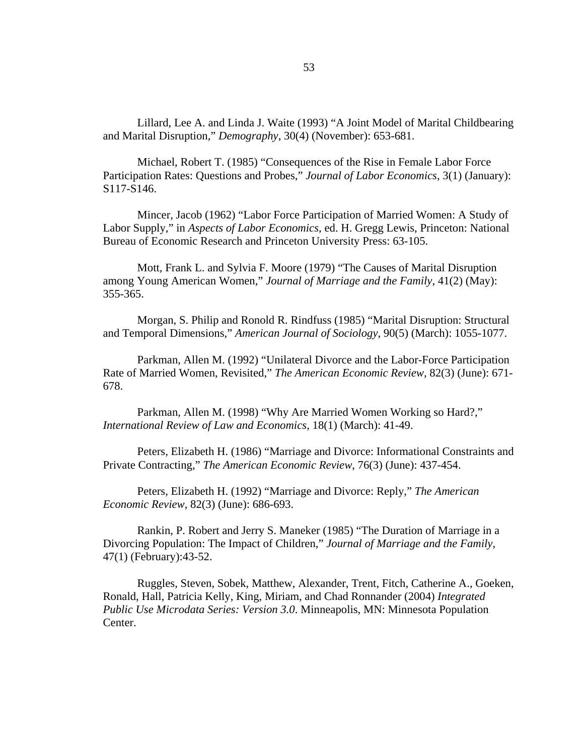Lillard, Lee A. and Linda J. Waite (1993) "A Joint Model of Marital Childbearing and Marital Disruption," *Demography*, 30(4) (November): 653-681.

Michael, Robert T. (1985) "Consequences of the Rise in Female Labor Force Participation Rates: Questions and Probes," *Journal of Labor Economics*, 3(1) (January): S117-S146.

 Mincer, Jacob (1962) "Labor Force Participation of Married Women: A Study of Labor Supply," in *Aspects of Labor Economics*, ed. H. Gregg Lewis, Princeton: National Bureau of Economic Research and Princeton University Press: 63-105.

 Mott, Frank L. and Sylvia F. Moore (1979) "The Causes of Marital Disruption among Young American Women," *Journal of Marriage and the Family*, 41(2) (May): 355-365.

 Morgan, S. Philip and Ronold R. Rindfuss (1985) "Marital Disruption: Structural and Temporal Dimensions," *American Journal of Sociology*, 90(5) (March): 1055-1077.

Parkman, Allen M. (1992) "Unilateral Divorce and the Labor-Force Participation Rate of Married Women, Revisited," *The American Economic Review*, 82(3) (June): 671- 678.

Parkman, Allen M. (1998) "Why Are Married Women Working so Hard?," *International Review of Law and Economics*, 18(1) (March): 41-49.

Peters, Elizabeth H. (1986) "Marriage and Divorce: Informational Constraints and Private Contracting," *The American Economic Review*, 76(3) (June): 437-454.

Peters, Elizabeth H. (1992) "Marriage and Divorce: Reply," *The American Economic Review*, 82(3) (June): 686-693.

Rankin, P. Robert and Jerry S. Maneker (1985) "The Duration of Marriage in a Divorcing Population: The Impact of Children," *Journal of Marriage and the Family*, 47(1) (February):43-52.

Ruggles, Steven, Sobek, Matthew, Alexander, Trent, Fitch, Catherine A., Goeken, Ronald, Hall, Patricia Kelly, King, Miriam, and Chad Ronnander (2004) *Integrated Public Use Microdata Series: Version 3.0*. Minneapolis, MN: Minnesota Population Center.